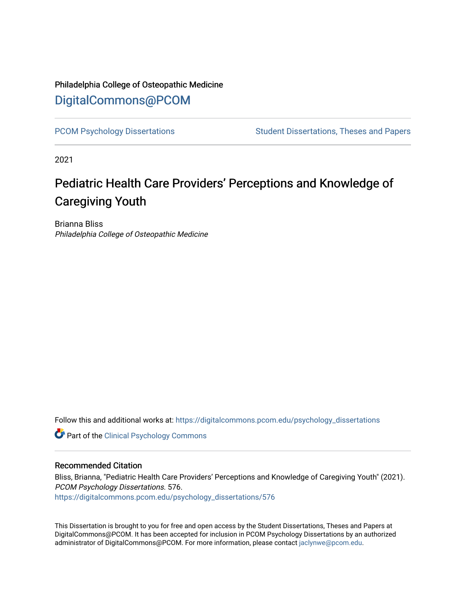# Philadelphia College of Osteopathic Medicine [DigitalCommons@PCOM](https://digitalcommons.pcom.edu/)

[PCOM Psychology Dissertations](https://digitalcommons.pcom.edu/psychology_dissertations) Student Dissertations, Theses and Papers

2021

# Pediatric Health Care Providers' Perceptions and Knowledge of Caregiving Youth

Brianna Bliss Philadelphia College of Osteopathic Medicine

Follow this and additional works at: [https://digitalcommons.pcom.edu/psychology\\_dissertations](https://digitalcommons.pcom.edu/psychology_dissertations?utm_source=digitalcommons.pcom.edu%2Fpsychology_dissertations%2F576&utm_medium=PDF&utm_campaign=PDFCoverPages)

**Part of the Clinical Psychology Commons** 

# Recommended Citation

Bliss, Brianna, "Pediatric Health Care Providers' Perceptions and Knowledge of Caregiving Youth" (2021). PCOM Psychology Dissertations. 576. [https://digitalcommons.pcom.edu/psychology\\_dissertations/576](https://digitalcommons.pcom.edu/psychology_dissertations/576?utm_source=digitalcommons.pcom.edu%2Fpsychology_dissertations%2F576&utm_medium=PDF&utm_campaign=PDFCoverPages) 

This Dissertation is brought to you for free and open access by the Student Dissertations, Theses and Papers at DigitalCommons@PCOM. It has been accepted for inclusion in PCOM Psychology Dissertations by an authorized administrator of DigitalCommons@PCOM. For more information, please contact [jaclynwe@pcom.edu.](mailto:jaclynwe@pcom.edu)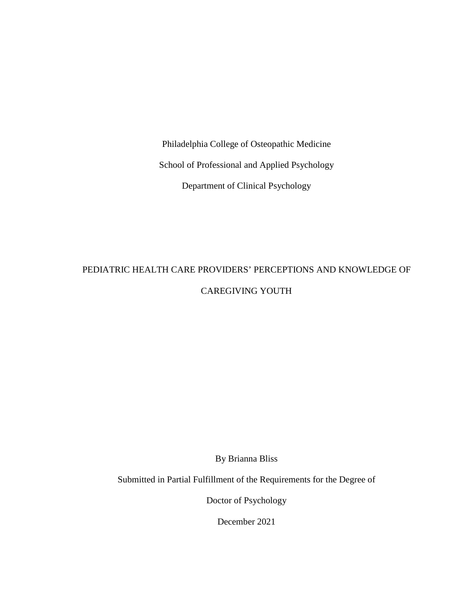Philadelphia College of Osteopathic Medicine School of Professional and Applied Psychology Department of Clinical Psychology

# PEDIATRIC HEALTH CARE PROVIDERS' PERCEPTIONS AND KNOWLEDGE OF CAREGIVING YOUTH

By Brianna Bliss

Submitted in Partial Fulfillment of the Requirements for the Degree of

Doctor of Psychology

December 2021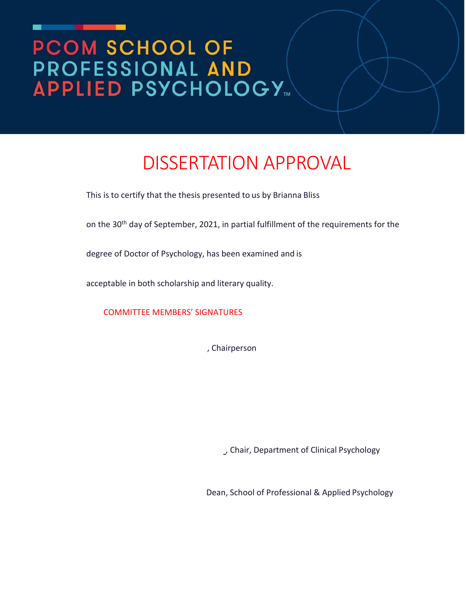# PCOM SCHOOL OF PROFESSIONAL AND **APPLIED PSYCHOLOGY™**

# DISSERTATION APPROVAL

This is to certify that the thesis presented to us by Brianna Bliss

on the 30<sup>th</sup> day of September, 2021, in partial fulfillment of the requirements for the

degree of Doctor of Psychology, has been examined and is

acceptable in both scholarship and literary quality.

COMMITTEE MEMBERS' SIGNATURES

, Chairperson

, Chair, Department of Clinical Psychology

Dean, School of Professional & Applied Psychology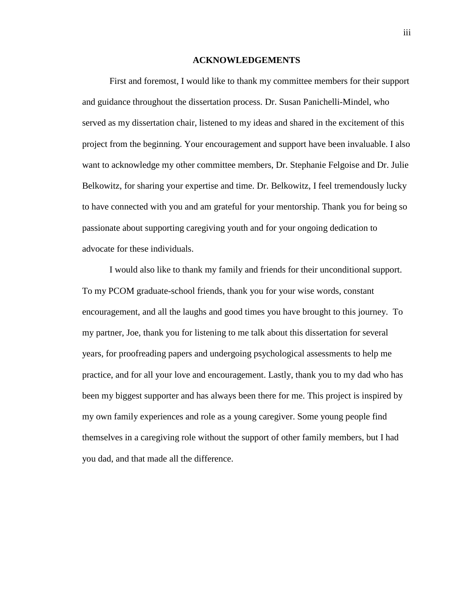#### **ACKNOWLEDGEMENTS**

First and foremost, I would like to thank my committee members for their support and guidance throughout the dissertation process. Dr. Susan Panichelli-Mindel, who served as my dissertation chair, listened to my ideas and shared in the excitement of this project from the beginning. Your encouragement and support have been invaluable. I also want to acknowledge my other committee members, Dr. Stephanie Felgoise and Dr. Julie Belkowitz, for sharing your expertise and time. Dr. Belkowitz, I feel tremendously lucky to have connected with you and am grateful for your mentorship. Thank you for being so passionate about supporting caregiving youth and for your ongoing dedication to advocate for these individuals.

I would also like to thank my family and friends for their unconditional support. To my PCOM graduate-school friends, thank you for your wise words, constant encouragement, and all the laughs and good times you have brought to this journey. To my partner, Joe, thank you for listening to me talk about this dissertation for several years, for proofreading papers and undergoing psychological assessments to help me practice, and for all your love and encouragement. Lastly, thank you to my dad who has been my biggest supporter and has always been there for me. This project is inspired by my own family experiences and role as a young caregiver. Some young people find themselves in a caregiving role without the support of other family members, but I had you dad, and that made all the difference.

iii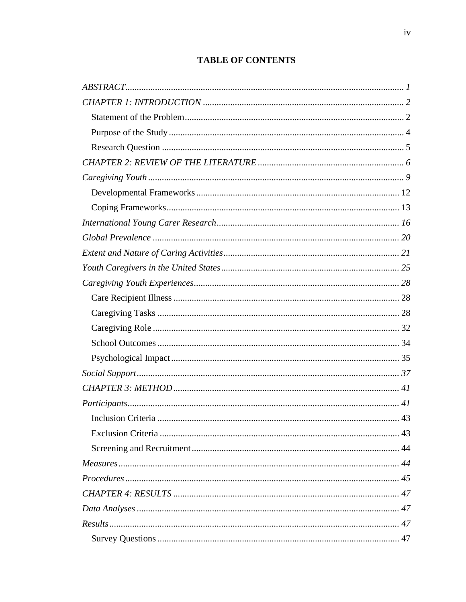# **TABLE OF CONTENTS**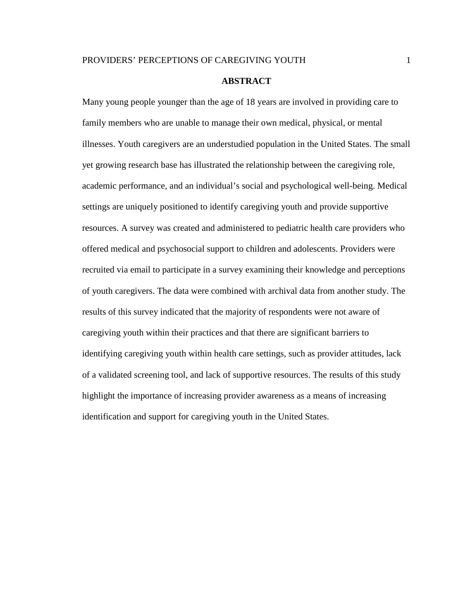#### **ABSTRACT**

<span id="page-6-0"></span>Many young people younger than the age of 18 years are involved in providing care to family members who are unable to manage their own medical, physical, or mental illnesses. Youth caregivers are an understudied population in the United States. The small yet growing research base has illustrated the relationship between the caregiving role, academic performance, and an individual's social and psychological well-being. Medical settings are uniquely positioned to identify caregiving youth and provide supportive resources. A survey was created and administered to pediatric health care providers who offered medical and psychosocial support to children and adolescents. Providers were recruited via email to participate in a survey examining their knowledge and perceptions of youth caregivers. The data were combined with archival data from another study. The results of this survey indicated that the majority of respondents were not aware of caregiving youth within their practices and that there are significant barriers to identifying caregiving youth within health care settings, such as provider attitudes, lack of a validated screening tool, and lack of supportive resources. The results of this study highlight the importance of increasing provider awareness as a means of increasing identification and support for caregiving youth in the United States.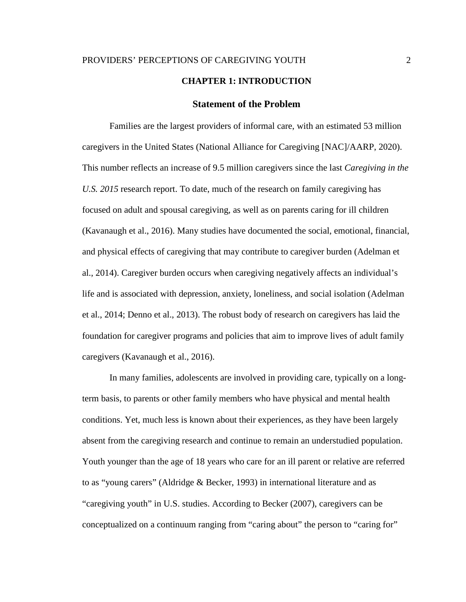# **CHAPTER 1: INTRODUCTION**

#### **Statement of the Problem**

<span id="page-7-1"></span><span id="page-7-0"></span>Families are the largest providers of informal care, with an estimated 53 million caregivers in the United States (National Alliance for Caregiving [NAC]/AARP, 2020). This number reflects an increase of 9.5 million caregivers since the last *Caregiving in the U.S. 2015* research report. To date, much of the research on family caregiving has focused on adult and spousal caregiving, as well as on parents caring for ill children (Kavanaugh et al., 2016). Many studies have documented the social, emotional, financial, and physical effects of caregiving that may contribute to caregiver burden (Adelman et al., 2014). Caregiver burden occurs when caregiving negatively affects an individual's life and is associated with depression, anxiety, loneliness, and social isolation (Adelman et al., 2014; Denno et al., 2013). The robust body of research on caregivers has laid the foundation for caregiver programs and policies that aim to improve lives of adult family caregivers (Kavanaugh et al., 2016).

In many families, adolescents are involved in providing care, typically on a longterm basis, to parents or other family members who have physical and mental health conditions. Yet, much less is known about their experiences, as they have been largely absent from the caregiving research and continue to remain an understudied population. Youth younger than the age of 18 years who care for an ill parent or relative are referred to as "young carers" (Aldridge & Becker, 1993) in international literature and as "caregiving youth" in U.S. studies. According to Becker (2007), caregivers can be conceptualized on a continuum ranging from "caring about" the person to "caring for"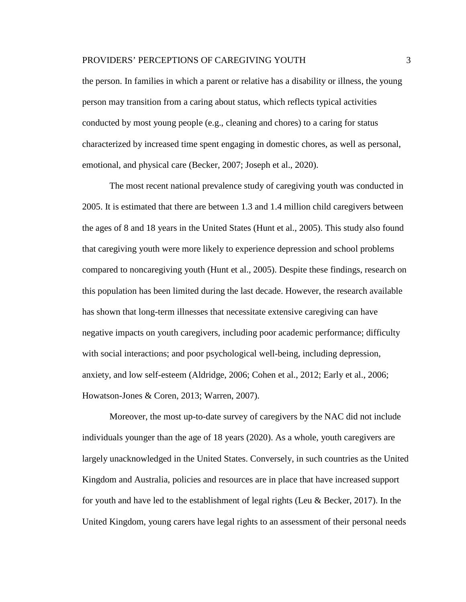the person. In families in which a parent or relative has a disability or illness, the young person may transition from a caring about status, which reflects typical activities conducted by most young people (e.g., cleaning and chores) to a caring for status characterized by increased time spent engaging in domestic chores, as well as personal, emotional, and physical care (Becker, 2007; Joseph et al., 2020).

The most recent national prevalence study of caregiving youth was conducted in 2005. It is estimated that there are between 1.3 and 1.4 million child caregivers between the ages of 8 and 18 years in the United States (Hunt et al., 2005). This study also found that caregiving youth were more likely to experience depression and school problems compared to noncaregiving youth (Hunt et al., 2005). Despite these findings, research on this population has been limited during the last decade. However, the research available has shown that long-term illnesses that necessitate extensive caregiving can have negative impacts on youth caregivers, including poor academic performance; difficulty with social interactions; and poor psychological well-being, including depression, anxiety, and low self-esteem (Aldridge, 2006; Cohen et al., 2012; Early et al., 2006; Howatson-Jones & Coren, 2013; Warren, 2007).

Moreover, the most up-to-date survey of caregivers by the NAC did not include individuals younger than the age of 18 years (2020). As a whole, youth caregivers are largely unacknowledged in the United States. Conversely, in such countries as the United Kingdom and Australia, policies and resources are in place that have increased support for youth and have led to the establishment of legal rights (Leu & Becker, 2017). In the United Kingdom, young carers have legal rights to an assessment of their personal needs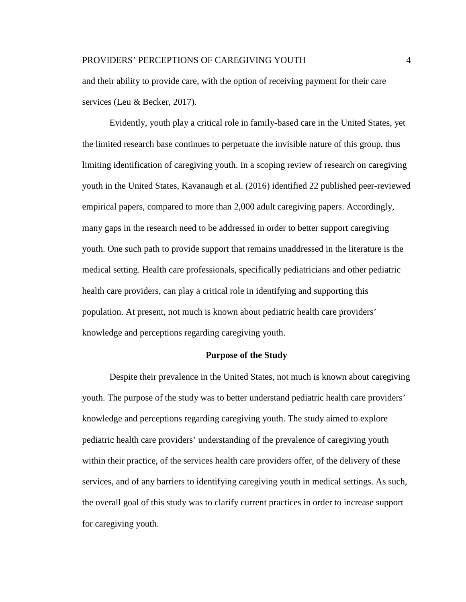and their ability to provide care, with the option of receiving payment for their care services (Leu & Becker, 2017).

Evidently, youth play a critical role in family-based care in the United States, yet the limited research base continues to perpetuate the invisible nature of this group, thus limiting identification of caregiving youth. In a scoping review of research on caregiving youth in the United States, Kavanaugh et al. (2016) identified 22 published peer-reviewed empirical papers, compared to more than 2,000 adult caregiving papers. Accordingly, many gaps in the research need to be addressed in order to better support caregiving youth. One such path to provide support that remains unaddressed in the literature is the medical setting. Health care professionals, specifically pediatricians and other pediatric health care providers, can play a critical role in identifying and supporting this population. At present, not much is known about pediatric health care providers' knowledge and perceptions regarding caregiving youth.

## **Purpose of the Study**

<span id="page-9-0"></span>Despite their prevalence in the United States, not much is known about caregiving youth. The purpose of the study was to better understand pediatric health care providers' knowledge and perceptions regarding caregiving youth. The study aimed to explore pediatric health care providers' understanding of the prevalence of caregiving youth within their practice, of the services health care providers offer, of the delivery of these services, and of any barriers to identifying caregiving youth in medical settings. As such, the overall goal of this study was to clarify current practices in order to increase support for caregiving youth.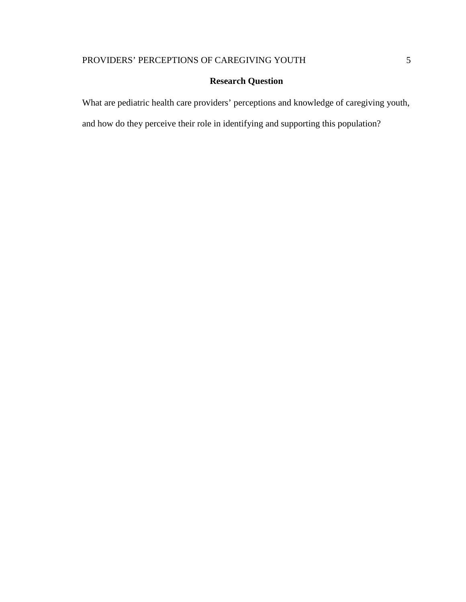# **Research Question**

<span id="page-10-0"></span>What are pediatric health care providers' perceptions and knowledge of caregiving youth,

and how do they perceive their role in identifying and supporting this population?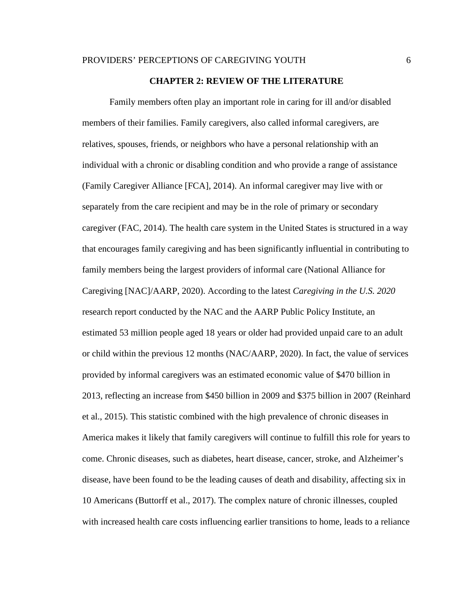#### **CHAPTER 2: REVIEW OF THE LITERATURE**

<span id="page-11-0"></span>Family members often play an important role in caring for ill and/or disabled members of their families. Family caregivers, also called informal caregivers, are relatives, spouses, friends, or neighbors who have a personal relationship with an individual with a chronic or disabling condition and who provide a range of assistance (Family Caregiver Alliance [FCA], 2014). An informal caregiver may live with or separately from the care recipient and may be in the role of primary or secondary caregiver (FAC, 2014). The health care system in the United States is structured in a way that encourages family caregiving and has been significantly influential in contributing to family members being the largest providers of informal care (National Alliance for Caregiving [NAC]/AARP, 2020). According to the latest *Caregiving in the U.S. 2020* research report conducted by the NAC and the AARP Public Policy Institute, an estimated 53 million people aged 18 years or older had provided unpaid care to an adult or child within the previous 12 months (NAC/AARP, 2020). In fact, the value of services provided by informal caregivers was an estimated economic value of \$470 billion in 2013, reflecting an increase from \$450 billion in 2009 and \$375 billion in 2007 (Reinhard et al., 2015). This statistic combined with the high prevalence of chronic diseases in America makes it likely that family caregivers will continue to fulfill this role for years to come. Chronic diseases, such as diabetes, heart disease, cancer, stroke, and Alzheimer's disease, have been found to be the leading causes of death and disability, affecting six in 10 Americans (Buttorff et al., 2017). The complex nature of chronic illnesses, coupled with increased health care costs influencing earlier transitions to home, leads to a reliance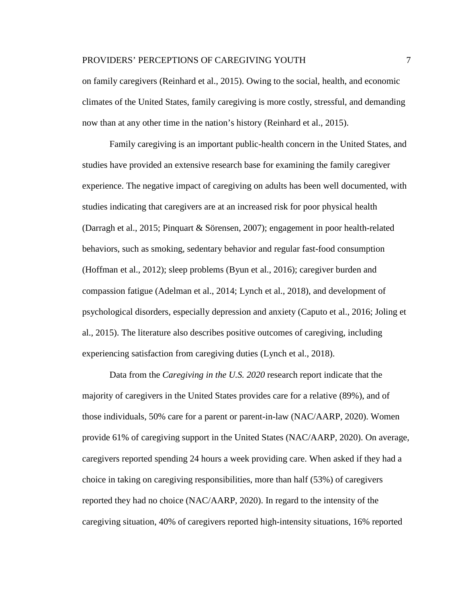# PROVIDERS' PERCEPTIONS OF CAREGIVING YOUTH  $\qquad \qquad \qquad$  7

on family caregivers (Reinhard et al., 2015). Owing to the social, health, and economic climates of the United States, family caregiving is more costly, stressful, and demanding now than at any other time in the nation's history (Reinhard et al., 2015).

Family caregiving is an important public-health concern in the United States, and studies have provided an extensive research base for examining the family caregiver experience. The negative impact of caregiving on adults has been well documented, with studies indicating that caregivers are at an increased risk for poor physical health (Darragh et al., 2015; Pinquart & Sörensen, 2007); engagement in poor health-related behaviors, such as smoking, sedentary behavior and regular fast-food consumption (Hoffman et al., 2012); sleep problems (Byun et al., 2016); caregiver burden and compassion fatigue (Adelman et al., 2014; Lynch et al., 2018), and development of psychological disorders, especially depression and anxiety (Caputo et al., 2016; Joling et al., 2015). The literature also describes positive outcomes of caregiving, including experiencing satisfaction from caregiving duties (Lynch et al., 2018).

Data from the *Caregiving in the U.S. 2020* research report indicate that the majority of caregivers in the United States provides care for a relative (89%), and of those individuals, 50% care for a parent or parent-in-law (NAC/AARP, 2020). Women provide 61% of caregiving support in the United States (NAC/AARP, 2020). On average, caregivers reported spending 24 hours a week providing care. When asked if they had a choice in taking on caregiving responsibilities, more than half (53%) of caregivers reported they had no choice (NAC/AARP, 2020). In regard to the intensity of the caregiving situation, 40% of caregivers reported high-intensity situations, 16% reported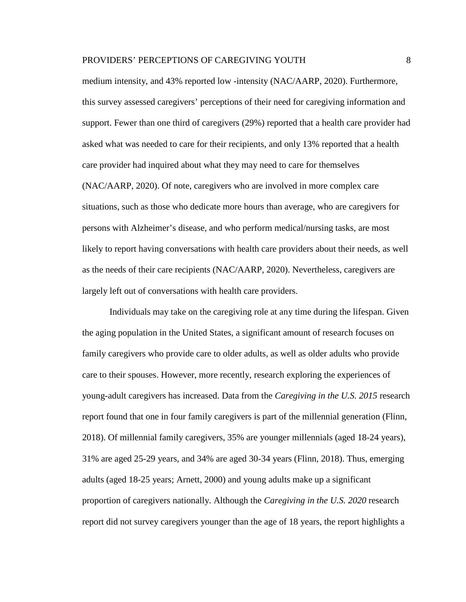medium intensity, and 43% reported low -intensity (NAC/AARP, 2020). Furthermore, this survey assessed caregivers' perceptions of their need for caregiving information and support. Fewer than one third of caregivers (29%) reported that a health care provider had asked what was needed to care for their recipients, and only 13% reported that a health care provider had inquired about what they may need to care for themselves (NAC/AARP, 2020). Of note, caregivers who are involved in more complex care situations, such as those who dedicate more hours than average, who are caregivers for persons with Alzheimer's disease, and who perform medical/nursing tasks, are most likely to report having conversations with health care providers about their needs, as well as the needs of their care recipients (NAC/AARP, 2020). Nevertheless, caregivers are largely left out of conversations with health care providers.

Individuals may take on the caregiving role at any time during the lifespan. Given the aging population in the United States, a significant amount of research focuses on family caregivers who provide care to older adults, as well as older adults who provide care to their spouses. However, more recently, research exploring the experiences of young-adult caregivers has increased. Data from the *Caregiving in the U.S. 2015* research report found that one in four family caregivers is part of the millennial generation (Flinn, 2018). Of millennial family caregivers, 35% are younger millennials (aged 18-24 years), 31% are aged 25-29 years, and 34% are aged 30-34 years (Flinn, 2018). Thus, emerging adults (aged 18-25 years; Arnett, 2000) and young adults make up a significant proportion of caregivers nationally. Although the *Caregiving in the U.S. 2020* research report did not survey caregivers younger than the age of 18 years, the report highlights a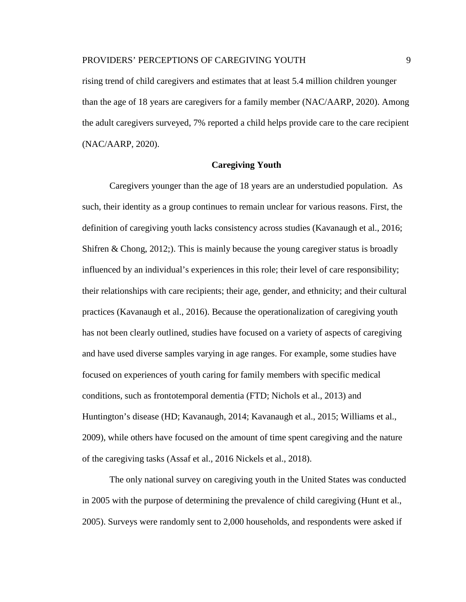rising trend of child caregivers and estimates that at least 5.4 million children younger than the age of 18 years are caregivers for a family member (NAC/AARP, 2020). Among the adult caregivers surveyed, 7% reported a child helps provide care to the care recipient (NAC/AARP, 2020).

## **Caregiving Youth**

<span id="page-14-0"></span>Caregivers younger than the age of 18 years are an understudied population. As such, their identity as a group continues to remain unclear for various reasons. First, the definition of caregiving youth lacks consistency across studies (Kavanaugh et al., 2016; Shifren & Chong,  $2012$ ; This is mainly because the young caregiver status is broadly influenced by an individual's experiences in this role; their level of care responsibility; their relationships with care recipients; their age, gender, and ethnicity; and their cultural practices (Kavanaugh et al., 2016). Because the operationalization of caregiving youth has not been clearly outlined, studies have focused on a variety of aspects of caregiving and have used diverse samples varying in age ranges. For example, some studies have focused on experiences of youth caring for family members with specific medical conditions, such as frontotemporal dementia (FTD; Nichols et al., 2013) and Huntington's disease (HD; Kavanaugh, 2014; Kavanaugh et al., 2015; Williams et al., 2009), while others have focused on the amount of time spent caregiving and the nature of the caregiving tasks (Assaf et al., 2016 Nickels et al., 2018).

The only national survey on caregiving youth in the United States was conducted in 2005 with the purpose of determining the prevalence of child caregiving (Hunt et al., 2005). Surveys were randomly sent to 2,000 households, and respondents were asked if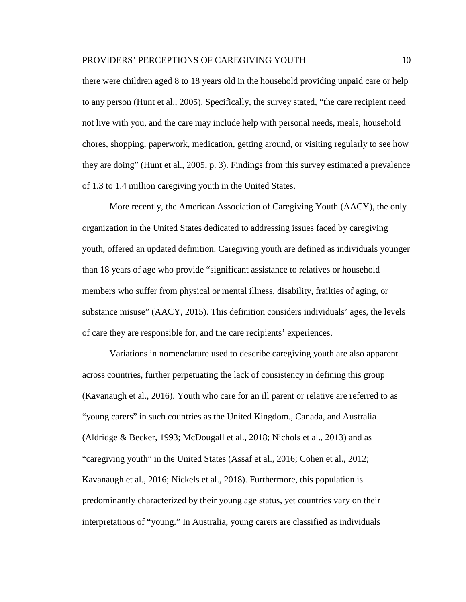there were children aged 8 to 18 years old in the household providing unpaid care or help to any person (Hunt et al., 2005). Specifically, the survey stated, "the care recipient need not live with you, and the care may include help with personal needs, meals, household chores, shopping, paperwork, medication, getting around, or visiting regularly to see how they are doing" (Hunt et al., 2005, p. 3). Findings from this survey estimated a prevalence of 1.3 to 1.4 million caregiving youth in the United States.

More recently, the American Association of Caregiving Youth (AACY), the only organization in the United States dedicated to addressing issues faced by caregiving youth, offered an updated definition. Caregiving youth are defined as individuals younger than 18 years of age who provide "significant assistance to relatives or household members who suffer from physical or mental illness, disability, frailties of aging, or substance misuse" (AACY, 2015). This definition considers individuals' ages, the levels of care they are responsible for, and the care recipients' experiences.

Variations in nomenclature used to describe caregiving youth are also apparent across countries, further perpetuating the lack of consistency in defining this group (Kavanaugh et al., 2016). Youth who care for an ill parent or relative are referred to as "young carers" in such countries as the United Kingdom., Canada, and Australia (Aldridge & Becker, 1993; McDougall et al., 2018; Nichols et al., 2013) and as "caregiving youth" in the United States (Assaf et al., 2016; Cohen et al., 2012; Kavanaugh et al., 2016; Nickels et al., 2018). Furthermore, this population is predominantly characterized by their young age status, yet countries vary on their interpretations of "young." In Australia, young carers are classified as individuals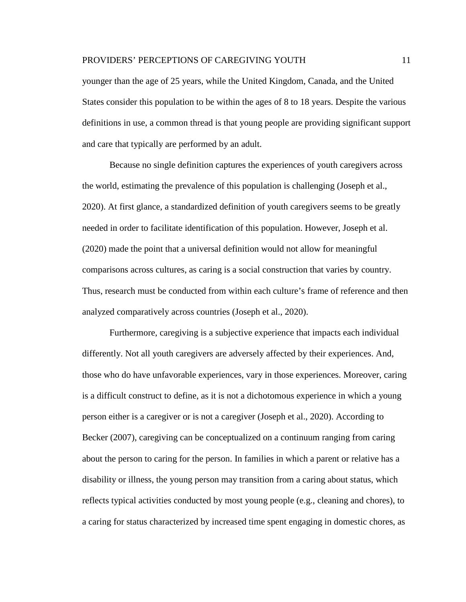younger than the age of 25 years, while the United Kingdom, Canada, and the United States consider this population to be within the ages of 8 to 18 years. Despite the various definitions in use, a common thread is that young people are providing significant support and care that typically are performed by an adult.

Because no single definition captures the experiences of youth caregivers across the world, estimating the prevalence of this population is challenging (Joseph et al., 2020). At first glance, a standardized definition of youth caregivers seems to be greatly needed in order to facilitate identification of this population. However, Joseph et al. (2020) made the point that a universal definition would not allow for meaningful comparisons across cultures, as caring is a social construction that varies by country. Thus, research must be conducted from within each culture's frame of reference and then analyzed comparatively across countries (Joseph et al., 2020).

Furthermore, caregiving is a subjective experience that impacts each individual differently. Not all youth caregivers are adversely affected by their experiences. And, those who do have unfavorable experiences, vary in those experiences. Moreover, caring is a difficult construct to define, as it is not a dichotomous experience in which a young person either is a caregiver or is not a caregiver (Joseph et al., 2020). According to Becker (2007), caregiving can be conceptualized on a continuum ranging from caring about the person to caring for the person. In families in which a parent or relative has a disability or illness, the young person may transition from a caring about status, which reflects typical activities conducted by most young people (e.g., cleaning and chores), to a caring for status characterized by increased time spent engaging in domestic chores, as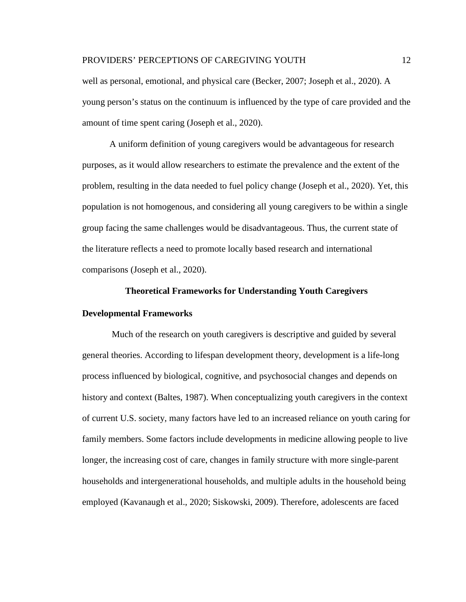well as personal, emotional, and physical care (Becker, 2007; Joseph et al., 2020). A young person's status on the continuum is influenced by the type of care provided and the amount of time spent caring (Joseph et al., 2020).

A uniform definition of young caregivers would be advantageous for research purposes, as it would allow researchers to estimate the prevalence and the extent of the problem, resulting in the data needed to fuel policy change (Joseph et al., 2020). Yet, this population is not homogenous, and considering all young caregivers to be within a single group facing the same challenges would be disadvantageous. Thus, the current state of the literature reflects a need to promote locally based research and international comparisons (Joseph et al., 2020).

#### **Theoretical Frameworks for Understanding Youth Caregivers**

# <span id="page-17-0"></span>**Developmental Frameworks**

Much of the research on youth caregivers is descriptive and guided by several general theories. According to lifespan development theory, development is a life-long process influenced by biological, cognitive, and psychosocial changes and depends on history and context (Baltes, 1987). When conceptualizing youth caregivers in the context of current U.S. society, many factors have led to an increased reliance on youth caring for family members. Some factors include developments in medicine allowing people to live longer, the increasing cost of care, changes in family structure with more single-parent households and intergenerational households, and multiple adults in the household being employed (Kavanaugh et al., 2020; Siskowski, 2009). Therefore, adolescents are faced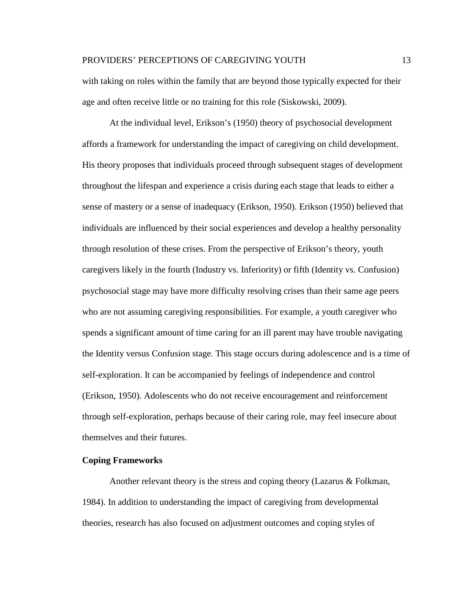with taking on roles within the family that are beyond those typically expected for their age and often receive little or no training for this role (Siskowski, 2009).

At the individual level, Erikson's (1950) theory of psychosocial development affords a framework for understanding the impact of caregiving on child development. His theory proposes that individuals proceed through subsequent stages of development throughout the lifespan and experience a crisis during each stage that leads to either a sense of mastery or a sense of inadequacy (Erikson, 1950). Erikson (1950) believed that individuals are influenced by their social experiences and develop a healthy personality through resolution of these crises. From the perspective of Erikson's theory, youth caregivers likely in the fourth (Industry vs. Inferiority) or fifth (Identity vs. Confusion) psychosocial stage may have more difficulty resolving crises than their same age peers who are not assuming caregiving responsibilities. For example, a youth caregiver who spends a significant amount of time caring for an ill parent may have trouble navigating the Identity versus Confusion stage. This stage occurs during adolescence and is a time of self-exploration. It can be accompanied by feelings of independence and control (Erikson, 1950). Adolescents who do not receive encouragement and reinforcement through self-exploration, perhaps because of their caring role, may feel insecure about themselves and their futures.

# <span id="page-18-0"></span>**Coping Frameworks**

Another relevant theory is the stress and coping theory (Lazarus & Folkman, 1984). In addition to understanding the impact of caregiving from developmental theories, research has also focused on adjustment outcomes and coping styles of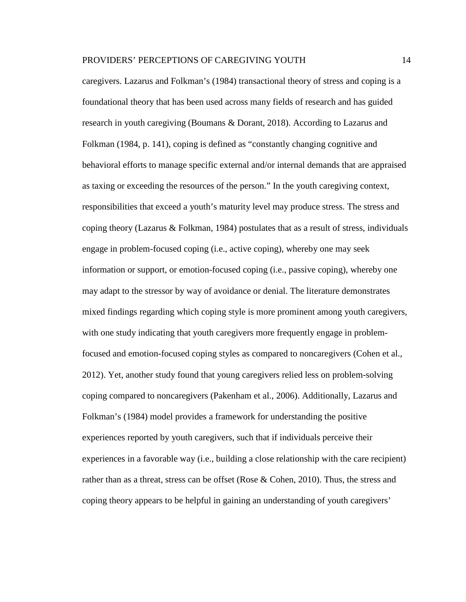caregivers. Lazarus and Folkman's (1984) transactional theory of stress and coping is a foundational theory that has been used across many fields of research and has guided research in youth caregiving (Boumans & Dorant, 2018). According to Lazarus and Folkman (1984, p. 141), coping is defined as "constantly changing cognitive and behavioral efforts to manage specific external and/or internal demands that are appraised as taxing or exceeding the resources of the person." In the youth caregiving context, responsibilities that exceed a youth's maturity level may produce stress. The stress and coping theory (Lazarus & Folkman, 1984) postulates that as a result of stress, individuals engage in problem-focused coping (i.e., active coping), whereby one may seek information or support, or emotion-focused coping (i.e., passive coping), whereby one may adapt to the stressor by way of avoidance or denial. The literature demonstrates mixed findings regarding which coping style is more prominent among youth caregivers, with one study indicating that youth caregivers more frequently engage in problemfocused and emotion-focused coping styles as compared to noncaregivers (Cohen et al., 2012). Yet, another study found that young caregivers relied less on problem-solving coping compared to noncaregivers (Pakenham et al., 2006). Additionally, Lazarus and Folkman's (1984) model provides a framework for understanding the positive experiences reported by youth caregivers, such that if individuals perceive their experiences in a favorable way (i.e., building a close relationship with the care recipient) rather than as a threat, stress can be offset (Rose & Cohen, 2010). Thus, the stress and coping theory appears to be helpful in gaining an understanding of youth caregivers'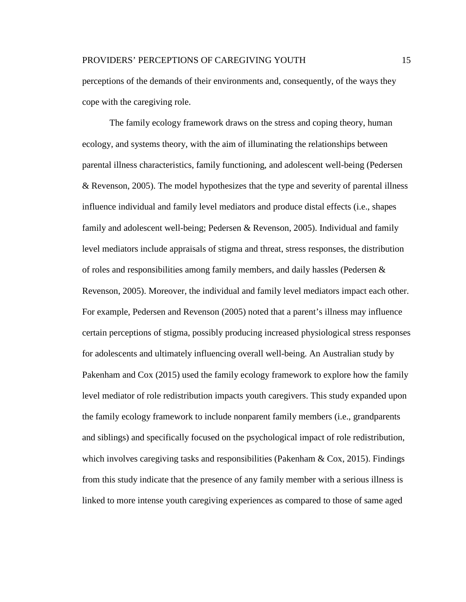perceptions of the demands of their environments and, consequently, of the ways they cope with the caregiving role.

The family ecology framework draws on the stress and coping theory, human ecology, and systems theory, with the aim of illuminating the relationships between parental illness characteristics, family functioning, and adolescent well-being (Pedersen & Revenson, 2005). The model hypothesizes that the type and severity of parental illness influence individual and family level mediators and produce distal effects (i.e., shapes family and adolescent well-being; Pedersen & Revenson, 2005). Individual and family level mediators include appraisals of stigma and threat, stress responses, the distribution of roles and responsibilities among family members, and daily hassles (Pedersen & Revenson, 2005). Moreover, the individual and family level mediators impact each other. For example, Pedersen and Revenson (2005) noted that a parent's illness may influence certain perceptions of stigma, possibly producing increased physiological stress responses for adolescents and ultimately influencing overall well-being. An Australian study by Pakenham and Cox (2015) used the family ecology framework to explore how the family level mediator of role redistribution impacts youth caregivers. This study expanded upon the family ecology framework to include nonparent family members (i.e., grandparents and siblings) and specifically focused on the psychological impact of role redistribution, which involves caregiving tasks and responsibilities (Pakenham  $\&$  Cox, 2015). Findings from this study indicate that the presence of any family member with a serious illness is linked to more intense youth caregiving experiences as compared to those of same aged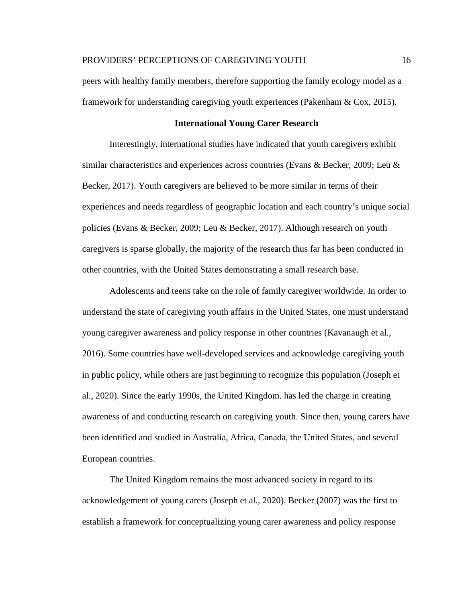peers with healthy family members, therefore supporting the family ecology model as a framework for understanding caregiving youth experiences (Pakenham & Cox, 2015).

## **International Young Carer Research**

<span id="page-21-0"></span>Interestingly, international studies have indicated that youth caregivers exhibit similar characteristics and experiences across countries (Evans & Becker, 2009; Leu & Becker, 2017). Youth caregivers are believed to be more similar in terms of their experiences and needs regardless of geographic location and each country's unique social policies (Evans & Becker, 2009; Leu & Becker, 2017). Although research on youth caregivers is sparse globally, the majority of the research thus far has been conducted in other countries, with the United States demonstrating a small research base.

Adolescents and teens take on the role of family caregiver worldwide. In order to understand the state of caregiving youth affairs in the United States, one must understand young caregiver awareness and policy response in other countries (Kavanaugh et al., 2016). Some countries have well-developed services and acknowledge caregiving youth in public policy, while others are just beginning to recognize this population (Joseph et al., 2020). Since the early 1990s, the United Kingdom. has led the charge in creating awareness of and conducting research on caregiving youth. Since then, young carers have been identified and studied in Australia, Africa, Canada, the United States, and several European countries.

The United Kingdom remains the most advanced society in regard to its acknowledgement of young carers (Joseph et al., 2020). Becker (2007) was the first to establish a framework for conceptualizing young carer awareness and policy response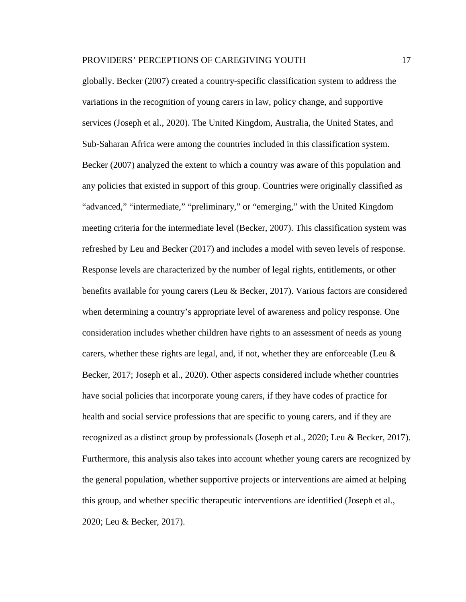globally. Becker (2007) created a country-specific classification system to address the variations in the recognition of young carers in law, policy change, and supportive services (Joseph et al., 2020). The United Kingdom, Australia, the United States, and Sub-Saharan Africa were among the countries included in this classification system. Becker (2007) analyzed the extent to which a country was aware of this population and any policies that existed in support of this group. Countries were originally classified as "advanced," "intermediate," "preliminary," or "emerging," with the United Kingdom meeting criteria for the intermediate level (Becker, 2007). This classification system was refreshed by Leu and Becker (2017) and includes a model with seven levels of response. Response levels are characterized by the number of legal rights, entitlements, or other benefits available for young carers (Leu & Becker, 2017). Various factors are considered when determining a country's appropriate level of awareness and policy response. One consideration includes whether children have rights to an assessment of needs as young carers, whether these rights are legal, and, if not, whether they are enforceable (Leu & Becker, 2017; Joseph et al., 2020). Other aspects considered include whether countries have social policies that incorporate young carers, if they have codes of practice for health and social service professions that are specific to young carers, and if they are recognized as a distinct group by professionals (Joseph et al., 2020; Leu & Becker, 2017). Furthermore, this analysis also takes into account whether young carers are recognized by the general population, whether supportive projects or interventions are aimed at helping this group, and whether specific therapeutic interventions are identified (Joseph et al., 2020; Leu & Becker, 2017).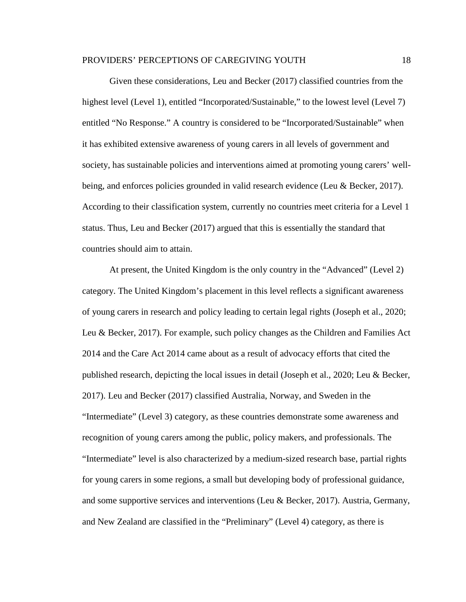Given these considerations, Leu and Becker (2017) classified countries from the highest level (Level 1), entitled "Incorporated/Sustainable," to the lowest level (Level 7) entitled "No Response." A country is considered to be "Incorporated/Sustainable" when it has exhibited extensive awareness of young carers in all levels of government and society, has sustainable policies and interventions aimed at promoting young carers' wellbeing, and enforces policies grounded in valid research evidence (Leu & Becker, 2017). According to their classification system, currently no countries meet criteria for a Level 1 status. Thus, Leu and Becker (2017) argued that this is essentially the standard that countries should aim to attain.

At present, the United Kingdom is the only country in the "Advanced" (Level 2) category. The United Kingdom's placement in this level reflects a significant awareness of young carers in research and policy leading to certain legal rights (Joseph et al., 2020; Leu & Becker, 2017). For example, such policy changes as the Children and Families Act 2014 and the Care Act 2014 came about as a result of advocacy efforts that cited the published research, depicting the local issues in detail (Joseph et al., 2020; Leu & Becker, 2017). Leu and Becker (2017) classified Australia, Norway, and Sweden in the "Intermediate" (Level 3) category, as these countries demonstrate some awareness and recognition of young carers among the public, policy makers, and professionals. The "Intermediate" level is also characterized by a medium-sized research base, partial rights for young carers in some regions, a small but developing body of professional guidance, and some supportive services and interventions (Leu & Becker, 2017). Austria, Germany, and New Zealand are classified in the "Preliminary" (Level 4) category, as there is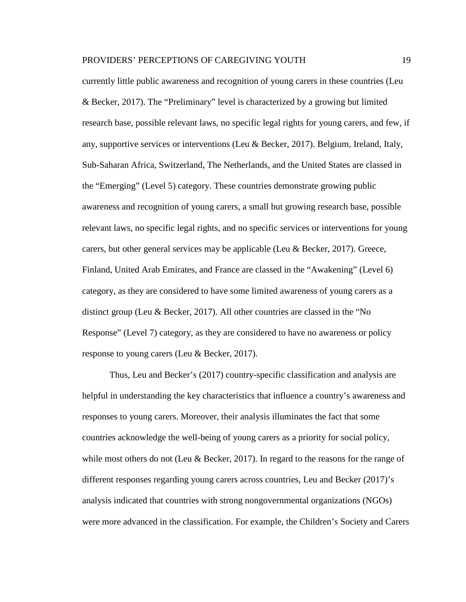currently little public awareness and recognition of young carers in these countries (Leu & Becker, 2017). The "Preliminary" level is characterized by a growing but limited research base, possible relevant laws, no specific legal rights for young carers, and few, if any, supportive services or interventions (Leu & Becker, 2017). Belgium, Ireland, Italy, Sub-Saharan Africa, Switzerland, The Netherlands, and the United States are classed in the "Emerging" (Level 5) category. These countries demonstrate growing public awareness and recognition of young carers, a small but growing research base, possible relevant laws, no specific legal rights, and no specific services or interventions for young carers, but other general services may be applicable (Leu & Becker, 2017). Greece, Finland, United Arab Emirates, and France are classed in the "Awakening" (Level 6) category, as they are considered to have some limited awareness of young carers as a distinct group (Leu & Becker, 2017). All other countries are classed in the "No Response" (Level 7) category, as they are considered to have no awareness or policy response to young carers (Leu & Becker, 2017).

Thus, Leu and Becker's (2017) country-specific classification and analysis are helpful in understanding the key characteristics that influence a country's awareness and responses to young carers. Moreover, their analysis illuminates the fact that some countries acknowledge the well-being of young carers as a priority for social policy, while most others do not (Leu & Becker, 2017). In regard to the reasons for the range of different responses regarding young carers across countries, Leu and Becker (2017)'s analysis indicated that countries with strong nongovernmental organizations (NGOs) were more advanced in the classification. For example, the Children's Society and Carers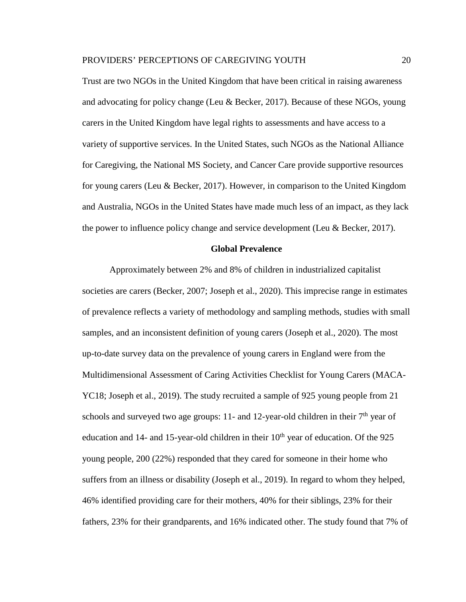Trust are two NGOs in the United Kingdom that have been critical in raising awareness and advocating for policy change (Leu & Becker, 2017). Because of these NGOs, young carers in the United Kingdom have legal rights to assessments and have access to a variety of supportive services. In the United States, such NGOs as the National Alliance for Caregiving, the National MS Society, and Cancer Care provide supportive resources for young carers (Leu & Becker, 2017). However, in comparison to the United Kingdom and Australia, NGOs in the United States have made much less of an impact, as they lack the power to influence policy change and service development (Leu & Becker, 2017).

### **Global Prevalence**

<span id="page-25-0"></span>Approximately between 2% and 8% of children in industrialized capitalist societies are carers (Becker, 2007; Joseph et al., 2020). This imprecise range in estimates of prevalence reflects a variety of methodology and sampling methods, studies with small samples, and an inconsistent definition of young carers (Joseph et al., 2020). The most up-to-date survey data on the prevalence of young carers in England were from the Multidimensional Assessment of Caring Activities Checklist for Young Carers (MACA-YC18; Joseph et al., 2019). The study recruited a sample of 925 young people from 21 schools and surveyed two age groups: 11- and 12-year-old children in their  $7<sup>th</sup>$  year of education and 14- and 15-year-old children in their  $10<sup>th</sup>$  year of education. Of the 925 young people, 200 (22%) responded that they cared for someone in their home who suffers from an illness or disability (Joseph et al., 2019). In regard to whom they helped, 46% identified providing care for their mothers, 40% for their siblings, 23% for their fathers, 23% for their grandparents, and 16% indicated other. The study found that 7% of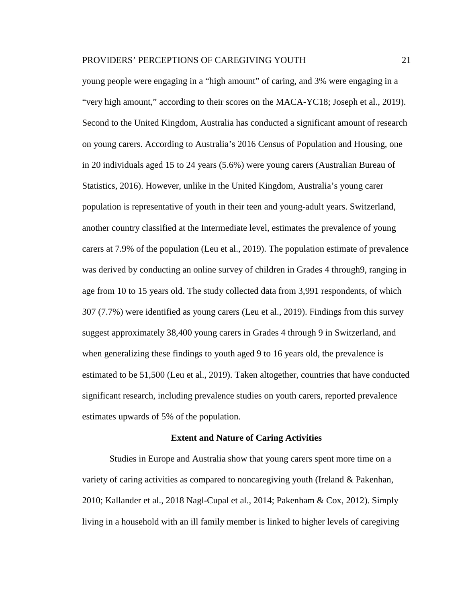young people were engaging in a "high amount" of caring, and 3% were engaging in a "very high amount," according to their scores on the MACA-YC18; Joseph et al., 2019). Second to the United Kingdom, Australia has conducted a significant amount of research on young carers. According to Australia's 2016 Census of Population and Housing, one in 20 individuals aged 15 to 24 years (5.6%) were young carers (Australian Bureau of Statistics, 2016). However, unlike in the United Kingdom, Australia's young carer population is representative of youth in their teen and young-adult years. Switzerland, another country classified at the Intermediate level, estimates the prevalence of young carers at 7.9% of the population (Leu et al., 2019). The population estimate of prevalence was derived by conducting an online survey of children in Grades 4 through9, ranging in age from 10 to 15 years old. The study collected data from 3,991 respondents, of which 307 (7.7%) were identified as young carers (Leu et al., 2019). Findings from this survey suggest approximately 38,400 young carers in Grades 4 through 9 in Switzerland, and when generalizing these findings to youth aged 9 to 16 years old, the prevalence is estimated to be 51,500 (Leu et al., 2019). Taken altogether, countries that have conducted significant research, including prevalence studies on youth carers, reported prevalence estimates upwards of 5% of the population.

#### **Extent and Nature of Caring Activities**

<span id="page-26-0"></span>Studies in Europe and Australia show that young carers spent more time on a variety of caring activities as compared to noncaregiving youth (Ireland & Pakenhan, 2010; Kallander et al., 2018 Nagl-Cupal et al., 2014; Pakenham & Cox, 2012). Simply living in a household with an ill family member is linked to higher levels of caregiving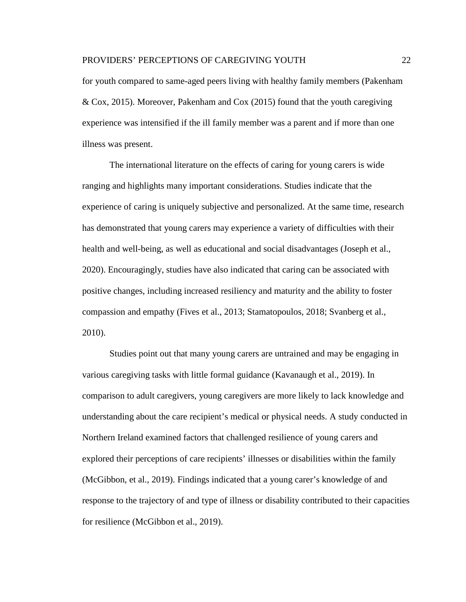for youth compared to same-aged peers living with healthy family members (Pakenham & Cox, 2015). Moreover, Pakenham and Cox (2015) found that the youth caregiving experience was intensified if the ill family member was a parent and if more than one illness was present.

The international literature on the effects of caring for young carers is wide ranging and highlights many important considerations. Studies indicate that the experience of caring is uniquely subjective and personalized. At the same time, research has demonstrated that young carers may experience a variety of difficulties with their health and well-being, as well as educational and social disadvantages (Joseph et al., 2020). Encouragingly, studies have also indicated that caring can be associated with positive changes, including increased resiliency and maturity and the ability to foster compassion and empathy (Fives et al., 2013; Stamatopoulos, 2018; Svanberg et al., 2010).

Studies point out that many young carers are untrained and may be engaging in various caregiving tasks with little formal guidance (Kavanaugh et al., 2019). In comparison to adult caregivers, young caregivers are more likely to lack knowledge and understanding about the care recipient's medical or physical needs. A study conducted in Northern Ireland examined factors that challenged resilience of young carers and explored their perceptions of care recipients' illnesses or disabilities within the family (McGibbon, et al., 2019). Findings indicated that a young carer's knowledge of and response to the trajectory of and type of illness or disability contributed to their capacities for resilience (McGibbon et al., 2019).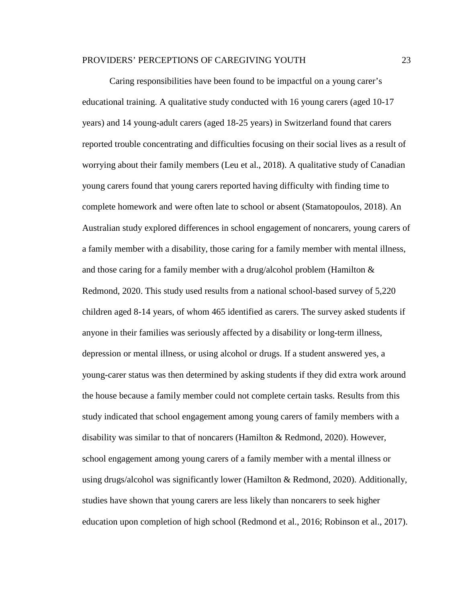Caring responsibilities have been found to be impactful on a young carer's educational training. A qualitative study conducted with 16 young carers (aged 10-17 years) and 14 young-adult carers (aged 18-25 years) in Switzerland found that carers reported trouble concentrating and difficulties focusing on their social lives as a result of worrying about their family members (Leu et al., 2018). A qualitative study of Canadian young carers found that young carers reported having difficulty with finding time to complete homework and were often late to school or absent (Stamatopoulos, 2018). An Australian study explored differences in school engagement of noncarers, young carers of a family member with a disability, those caring for a family member with mental illness, and those caring for a family member with a drug/alcohol problem (Hamilton  $\&$ Redmond, 2020. This study used results from a national school-based survey of 5,220 children aged 8-14 years, of whom 465 identified as carers. The survey asked students if anyone in their families was seriously affected by a disability or long-term illness, depression or mental illness, or using alcohol or drugs. If a student answered yes, a young-carer status was then determined by asking students if they did extra work around the house because a family member could not complete certain tasks. Results from this study indicated that school engagement among young carers of family members with a disability was similar to that of noncarers (Hamilton & Redmond, 2020). However, school engagement among young carers of a family member with a mental illness or using drugs/alcohol was significantly lower (Hamilton & Redmond, 2020). Additionally, studies have shown that young carers are less likely than noncarers to seek higher education upon completion of high school (Redmond et al., 2016; Robinson et al., 2017).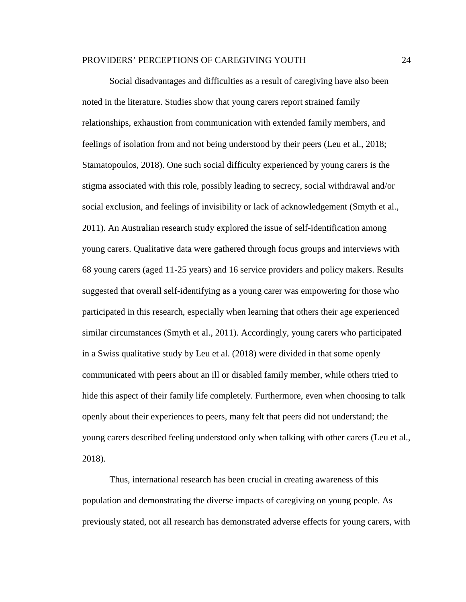Social disadvantages and difficulties as a result of caregiving have also been noted in the literature. Studies show that young carers report strained family relationships, exhaustion from communication with extended family members, and feelings of isolation from and not being understood by their peers (Leu et al., 2018; Stamatopoulos, 2018). One such social difficulty experienced by young carers is the stigma associated with this role, possibly leading to secrecy, social withdrawal and/or social exclusion, and feelings of invisibility or lack of acknowledgement (Smyth et al., 2011). An Australian research study explored the issue of self-identification among young carers. Qualitative data were gathered through focus groups and interviews with 68 young carers (aged 11-25 years) and 16 service providers and policy makers. Results suggested that overall self-identifying as a young carer was empowering for those who participated in this research, especially when learning that others their age experienced similar circumstances (Smyth et al., 2011). Accordingly, young carers who participated in a Swiss qualitative study by Leu et al. (2018) were divided in that some openly communicated with peers about an ill or disabled family member, while others tried to hide this aspect of their family life completely. Furthermore, even when choosing to talk openly about their experiences to peers, many felt that peers did not understand; the young carers described feeling understood only when talking with other carers (Leu et al., 2018).

Thus, international research has been crucial in creating awareness of this population and demonstrating the diverse impacts of caregiving on young people. As previously stated, not all research has demonstrated adverse effects for young carers, with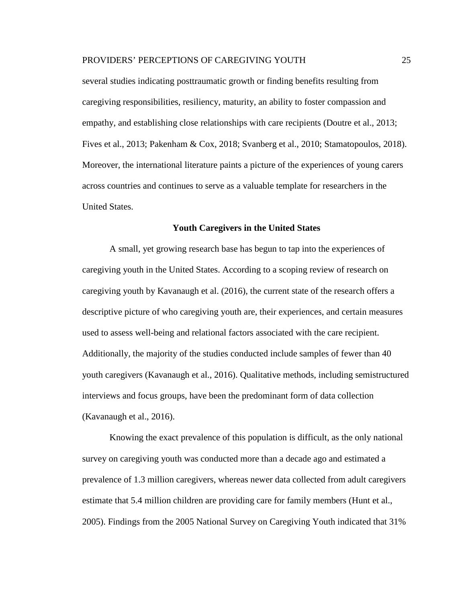several studies indicating posttraumatic growth or finding benefits resulting from caregiving responsibilities, resiliency, maturity, an ability to foster compassion and empathy, and establishing close relationships with care recipients (Doutre et al., 2013; Fives et al., 2013; Pakenham & Cox, 2018; Svanberg et al., 2010; Stamatopoulos, 2018). Moreover, the international literature paints a picture of the experiences of young carers across countries and continues to serve as a valuable template for researchers in the United States.

## **Youth Caregivers in the United States**

<span id="page-30-0"></span>A small, yet growing research base has begun to tap into the experiences of caregiving youth in the United States. According to a scoping review of research on caregiving youth by Kavanaugh et al. (2016), the current state of the research offers a descriptive picture of who caregiving youth are, their experiences, and certain measures used to assess well-being and relational factors associated with the care recipient. Additionally, the majority of the studies conducted include samples of fewer than 40 youth caregivers (Kavanaugh et al., 2016). Qualitative methods, including semistructured interviews and focus groups, have been the predominant form of data collection (Kavanaugh et al., 2016).

Knowing the exact prevalence of this population is difficult, as the only national survey on caregiving youth was conducted more than a decade ago and estimated a prevalence of 1.3 million caregivers, whereas newer data collected from adult caregivers estimate that 5.4 million children are providing care for family members (Hunt et al., 2005). Findings from the 2005 National Survey on Caregiving Youth indicated that 31%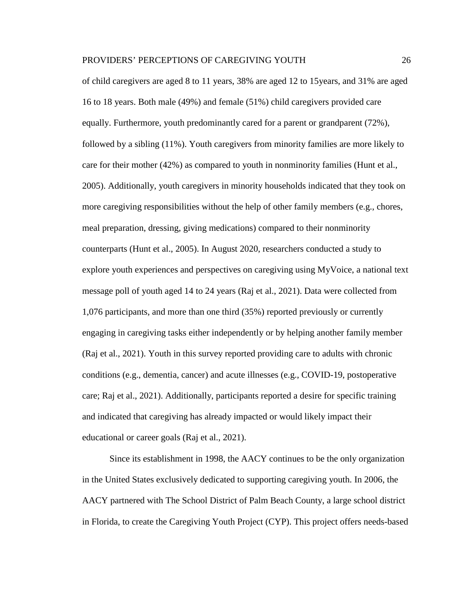of child caregivers are aged 8 to 11 years, 38% are aged 12 to 15years, and 31% are aged 16 to 18 years. Both male (49%) and female (51%) child caregivers provided care equally. Furthermore, youth predominantly cared for a parent or grandparent (72%), followed by a sibling (11%). Youth caregivers from minority families are more likely to care for their mother (42%) as compared to youth in nonminority families (Hunt et al., 2005). Additionally, youth caregivers in minority households indicated that they took on more caregiving responsibilities without the help of other family members (e.g., chores, meal preparation, dressing, giving medications) compared to their nonminority counterparts (Hunt et al., 2005). In August 2020, researchers conducted a study to explore youth experiences and perspectives on caregiving using MyVoice, a national text message poll of youth aged 14 to 24 years (Raj et al., 2021). Data were collected from 1,076 participants, and more than one third (35%) reported previously or currently engaging in caregiving tasks either independently or by helping another family member (Raj et al., 2021). Youth in this survey reported providing care to adults with chronic conditions (e.g., dementia, cancer) and acute illnesses (e.g., COVID-19, postoperative care; Raj et al., 2021). Additionally, participants reported a desire for specific training and indicated that caregiving has already impacted or would likely impact their educational or career goals (Raj et al., 2021).

Since its establishment in 1998, the AACY continues to be the only organization in the United States exclusively dedicated to supporting caregiving youth. In 2006, the AACY partnered with The School District of Palm Beach County, a large school district in Florida, to create the Caregiving Youth Project (CYP). This project offers needs-based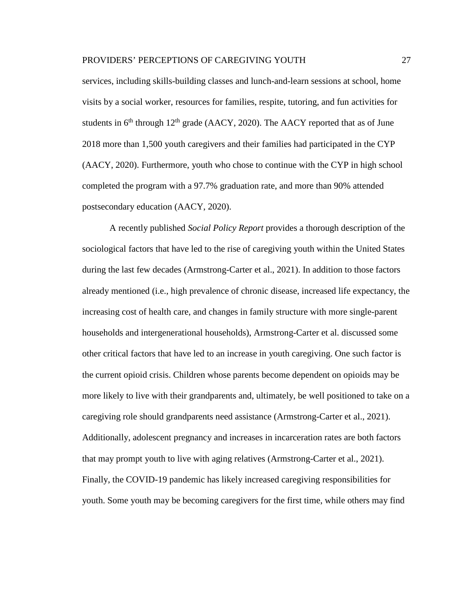services, including skills-building classes and lunch-and-learn sessions at school, home visits by a social worker, resources for families, respite, tutoring, and fun activities for students in  $6<sup>th</sup>$  through  $12<sup>th</sup>$  grade (AACY, 2020). The AACY reported that as of June 2018 more than 1,500 youth caregivers and their families had participated in the CYP (AACY, 2020). Furthermore, youth who chose to continue with the CYP in high school completed the program with a 97.7% graduation rate, and more than 90% attended postsecondary education (AACY, 2020).

A recently published *Social Policy Report* provides a thorough description of the sociological factors that have led to the rise of caregiving youth within the United States during the last few decades (Armstrong-Carter et al., 2021). In addition to those factors already mentioned (i.e., high prevalence of chronic disease, increased life expectancy, the increasing cost of health care, and changes in family structure with more single-parent households and intergenerational households), Armstrong-Carter et al. discussed some other critical factors that have led to an increase in youth caregiving. One such factor is the current opioid crisis. Children whose parents become dependent on opioids may be more likely to live with their grandparents and, ultimately, be well positioned to take on a caregiving role should grandparents need assistance (Armstrong-Carter et al., 2021). Additionally, adolescent pregnancy and increases in incarceration rates are both factors that may prompt youth to live with aging relatives (Armstrong-Carter et al., 2021). Finally, the COVID-19 pandemic has likely increased caregiving responsibilities for youth. Some youth may be becoming caregivers for the first time, while others may find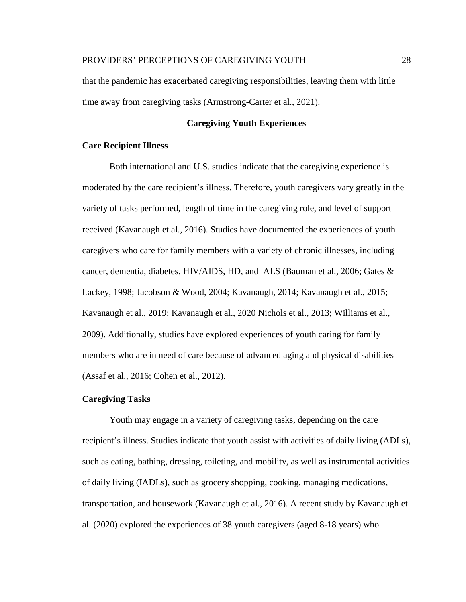that the pandemic has exacerbated caregiving responsibilities, leaving them with little time away from caregiving tasks (Armstrong-Carter et al., 2021).

# **Caregiving Youth Experiences**

# <span id="page-33-1"></span><span id="page-33-0"></span>**Care Recipient Illness**

Both international and U.S. studies indicate that the caregiving experience is moderated by the care recipient's illness. Therefore, youth caregivers vary greatly in the variety of tasks performed, length of time in the caregiving role, and level of support received (Kavanaugh et al., 2016). Studies have documented the experiences of youth caregivers who care for family members with a variety of chronic illnesses, including cancer, dementia, diabetes, HIV/AIDS, HD, and ALS (Bauman et al., 2006; Gates & Lackey, 1998; Jacobson & Wood, 2004; Kavanaugh, 2014; Kavanaugh et al., 2015; Kavanaugh et al., 2019; Kavanaugh et al., 2020 Nichols et al., 2013; Williams et al., 2009). Additionally, studies have explored experiences of youth caring for family members who are in need of care because of advanced aging and physical disabilities (Assaf et al., 2016; Cohen et al., 2012).

# <span id="page-33-2"></span>**Caregiving Tasks**

Youth may engage in a variety of caregiving tasks, depending on the care recipient's illness. Studies indicate that youth assist with activities of daily living (ADLs), such as eating, bathing, dressing, toileting, and mobility, as well as instrumental activities of daily living (IADLs), such as grocery shopping, cooking, managing medications, transportation, and housework (Kavanaugh et al., 2016). A recent study by Kavanaugh et al. (2020) explored the experiences of 38 youth caregivers (aged 8-18 years) who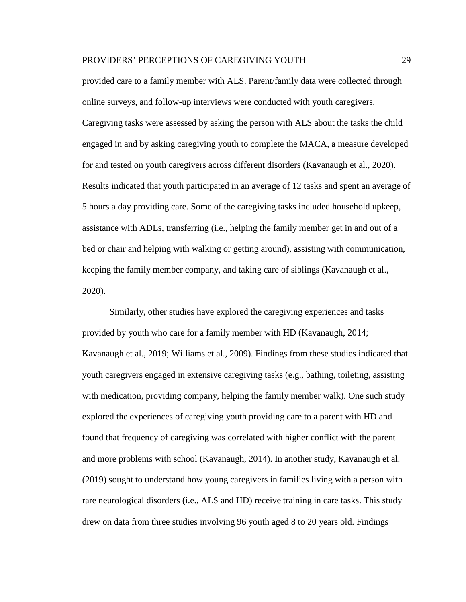provided care to a family member with ALS. Parent/family data were collected through online surveys, and follow-up interviews were conducted with youth caregivers. Caregiving tasks were assessed by asking the person with ALS about the tasks the child engaged in and by asking caregiving youth to complete the MACA, a measure developed for and tested on youth caregivers across different disorders (Kavanaugh et al., 2020). Results indicated that youth participated in an average of 12 tasks and spent an average of 5 hours a day providing care. Some of the caregiving tasks included household upkeep, assistance with ADLs, transferring (i.e., helping the family member get in and out of a bed or chair and helping with walking or getting around), assisting with communication, keeping the family member company, and taking care of siblings (Kavanaugh et al., 2020).

Similarly, other studies have explored the caregiving experiences and tasks provided by youth who care for a family member with HD (Kavanaugh, 2014; Kavanaugh et al., 2019; Williams et al., 2009). Findings from these studies indicated that youth caregivers engaged in extensive caregiving tasks (e.g., bathing, toileting, assisting with medication, providing company, helping the family member walk). One such study explored the experiences of caregiving youth providing care to a parent with HD and found that frequency of caregiving was correlated with higher conflict with the parent and more problems with school (Kavanaugh, 2014). In another study, Kavanaugh et al. (2019) sought to understand how young caregivers in families living with a person with rare neurological disorders (i.e., ALS and HD) receive training in care tasks. This study drew on data from three studies involving 96 youth aged 8 to 20 years old. Findings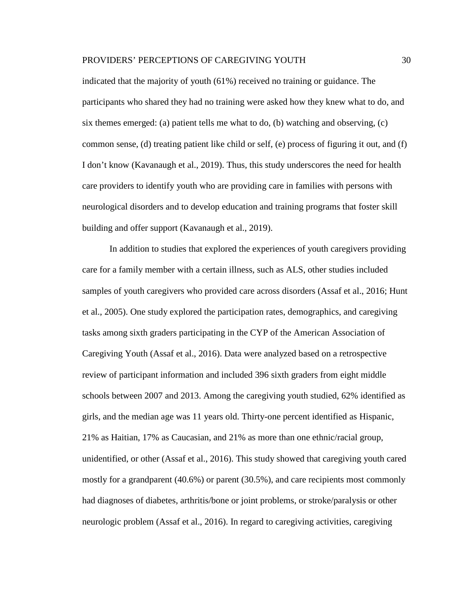indicated that the majority of youth (61%) received no training or guidance. The participants who shared they had no training were asked how they knew what to do, and six themes emerged: (a) patient tells me what to do, (b) watching and observing, (c) common sense, (d) treating patient like child or self, (e) process of figuring it out, and (f) I don't know (Kavanaugh et al., 2019). Thus, this study underscores the need for health care providers to identify youth who are providing care in families with persons with neurological disorders and to develop education and training programs that foster skill building and offer support (Kavanaugh et al., 2019).

In addition to studies that explored the experiences of youth caregivers providing care for a family member with a certain illness, such as ALS, other studies included samples of youth caregivers who provided care across disorders (Assaf et al., 2016; Hunt et al., 2005). One study explored the participation rates, demographics, and caregiving tasks among sixth graders participating in the CYP of the American Association of Caregiving Youth (Assaf et al., 2016). Data were analyzed based on a retrospective review of participant information and included 396 sixth graders from eight middle schools between 2007 and 2013. Among the caregiving youth studied, 62% identified as girls, and the median age was 11 years old. Thirty-one percent identified as Hispanic, 21% as Haitian, 17% as Caucasian, and 21% as more than one ethnic/racial group, unidentified, or other (Assaf et al., 2016). This study showed that caregiving youth cared mostly for a grandparent (40.6%) or parent (30.5%), and care recipients most commonly had diagnoses of diabetes, arthritis/bone or joint problems, or stroke/paralysis or other neurologic problem (Assaf et al., 2016). In regard to caregiving activities, caregiving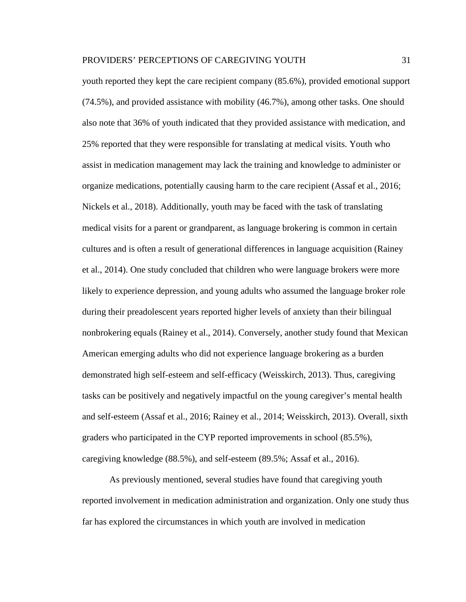youth reported they kept the care recipient company (85.6%), provided emotional support (74.5%), and provided assistance with mobility (46.7%), among other tasks. One should also note that 36% of youth indicated that they provided assistance with medication, and 25% reported that they were responsible for translating at medical visits. Youth who assist in medication management may lack the training and knowledge to administer or organize medications, potentially causing harm to the care recipient (Assaf et al., 2016; Nickels et al., 2018). Additionally, youth may be faced with the task of translating medical visits for a parent or grandparent, as language brokering is common in certain cultures and is often a result of generational differences in language acquisition (Rainey et al., 2014). One study concluded that children who were language brokers were more likely to experience depression, and young adults who assumed the language broker role during their preadolescent years reported higher levels of anxiety than their bilingual nonbrokering equals (Rainey et al., 2014). Conversely, another study found that Mexican American emerging adults who did not experience language brokering as a burden demonstrated high self-esteem and self-efficacy (Weisskirch, 2013). Thus, caregiving tasks can be positively and negatively impactful on the young caregiver's mental health and self-esteem (Assaf et al., 2016; Rainey et al., 2014; Weisskirch, 2013). Overall, sixth graders who participated in the CYP reported improvements in school (85.5%), caregiving knowledge (88.5%), and self-esteem (89.5%; Assaf et al., 2016).

As previously mentioned, several studies have found that caregiving youth reported involvement in medication administration and organization. Only one study thus far has explored the circumstances in which youth are involved in medication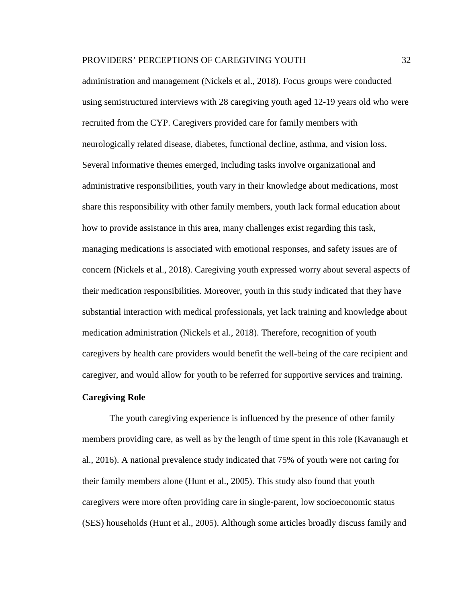administration and management (Nickels et al., 2018). Focus groups were conducted using semistructured interviews with 28 caregiving youth aged 12-19 years old who were recruited from the CYP. Caregivers provided care for family members with neurologically related disease, diabetes, functional decline, asthma, and vision loss. Several informative themes emerged, including tasks involve organizational and administrative responsibilities, youth vary in their knowledge about medications, most share this responsibility with other family members, youth lack formal education about how to provide assistance in this area, many challenges exist regarding this task, managing medications is associated with emotional responses, and safety issues are of concern (Nickels et al., 2018). Caregiving youth expressed worry about several aspects of their medication responsibilities. Moreover, youth in this study indicated that they have substantial interaction with medical professionals, yet lack training and knowledge about medication administration (Nickels et al., 2018). Therefore, recognition of youth caregivers by health care providers would benefit the well-being of the care recipient and caregiver, and would allow for youth to be referred for supportive services and training.

### **Caregiving Role**

The youth caregiving experience is influenced by the presence of other family members providing care, as well as by the length of time spent in this role (Kavanaugh et al., 2016). A national prevalence study indicated that 75% of youth were not caring for their family members alone (Hunt et al., 2005). This study also found that youth caregivers were more often providing care in single-parent, low socioeconomic status (SES) households (Hunt et al., 2005). Although some articles broadly discuss family and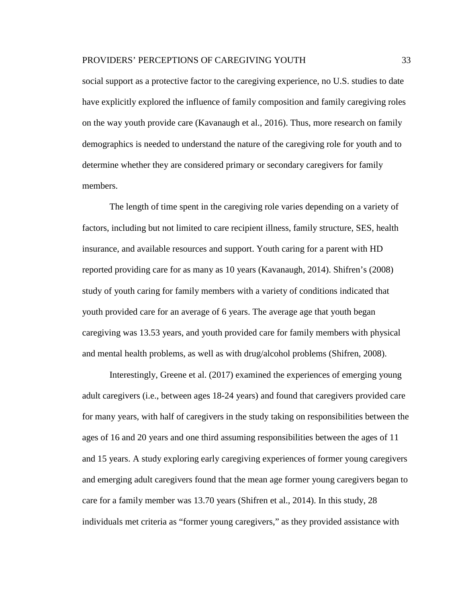social support as a protective factor to the caregiving experience, no U.S. studies to date have explicitly explored the influence of family composition and family caregiving roles on the way youth provide care (Kavanaugh et al., 2016). Thus, more research on family demographics is needed to understand the nature of the caregiving role for youth and to determine whether they are considered primary or secondary caregivers for family members.

The length of time spent in the caregiving role varies depending on a variety of factors, including but not limited to care recipient illness, family structure, SES, health insurance, and available resources and support. Youth caring for a parent with HD reported providing care for as many as 10 years (Kavanaugh, 2014). Shifren's (2008) study of youth caring for family members with a variety of conditions indicated that youth provided care for an average of 6 years. The average age that youth began caregiving was 13.53 years, and youth provided care for family members with physical and mental health problems, as well as with drug/alcohol problems (Shifren, 2008).

Interestingly, Greene et al. (2017) examined the experiences of emerging young adult caregivers (i.e., between ages 18-24 years) and found that caregivers provided care for many years, with half of caregivers in the study taking on responsibilities between the ages of 16 and 20 years and one third assuming responsibilities between the ages of 11 and 15 years. A study exploring early caregiving experiences of former young caregivers and emerging adult caregivers found that the mean age former young caregivers began to care for a family member was 13.70 years (Shifren et al., 2014). In this study, 28 individuals met criteria as "former young caregivers," as they provided assistance with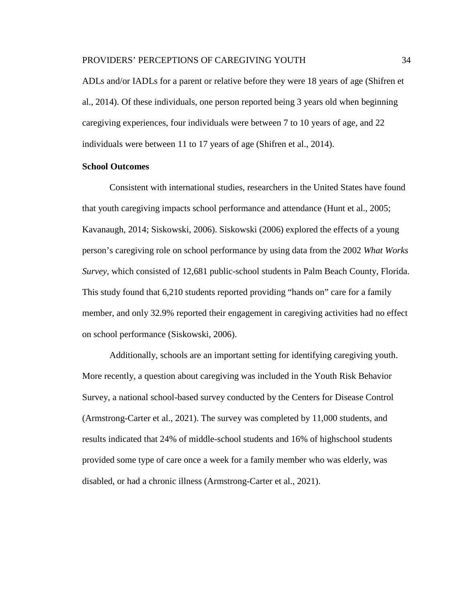ADLs and/or IADLs for a parent or relative before they were 18 years of age (Shifren et al., 2014). Of these individuals, one person reported being 3 years old when beginning caregiving experiences, four individuals were between 7 to 10 years of age, and 22 individuals were between 11 to 17 years of age (Shifren et al., 2014).

#### **School Outcomes**

Consistent with international studies, researchers in the United States have found that youth caregiving impacts school performance and attendance (Hunt et al., 2005; Kavanaugh, 2014; Siskowski, 2006). Siskowski (2006) explored the effects of a young person's caregiving role on school performance by using data from the 2002 *What Works Survey*, which consisted of 12,681 public-school students in Palm Beach County, Florida. This study found that 6,210 students reported providing "hands on" care for a family member, and only 32.9% reported their engagement in caregiving activities had no effect on school performance (Siskowski, 2006).

Additionally, schools are an important setting for identifying caregiving youth. More recently, a question about caregiving was included in the Youth Risk Behavior Survey, a national school-based survey conducted by the Centers for Disease Control (Armstrong-Carter et al., 2021). The survey was completed by 11,000 students, and results indicated that 24% of middle-school students and 16% of highschool students provided some type of care once a week for a family member who was elderly, was disabled, or had a chronic illness (Armstrong-Carter et al., 2021).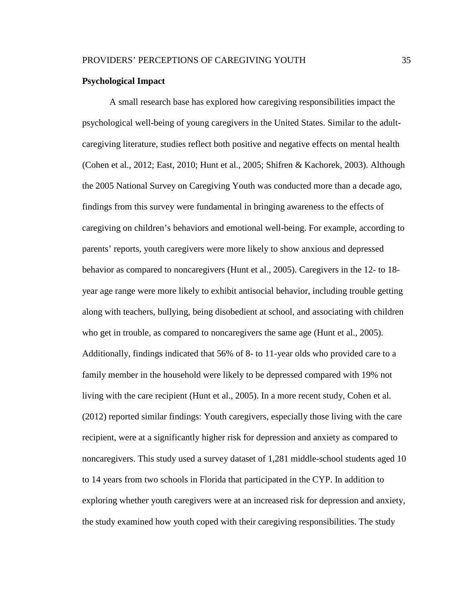#### **Psychological Impact**

A small research base has explored how caregiving responsibilities impact the psychological well-being of young caregivers in the United States. Similar to the adultcaregiving literature, studies reflect both positive and negative effects on mental health (Cohen et al., 2012; East, 2010; Hunt et al., 2005; Shifren & Kachorek, 2003). Although the 2005 National Survey on Caregiving Youth was conducted more than a decade ago, findings from this survey were fundamental in bringing awareness to the effects of caregiving on children's behaviors and emotional well-being. For example, according to parents' reports, youth caregivers were more likely to show anxious and depressed behavior as compared to noncaregivers (Hunt et al., 2005). Caregivers in the 12- to 18 year age range were more likely to exhibit antisocial behavior, including trouble getting along with teachers, bullying, being disobedient at school, and associating with children who get in trouble, as compared to noncaregivers the same age (Hunt et al., 2005). Additionally, findings indicated that 56% of 8- to 11-year olds who provided care to a family member in the household were likely to be depressed compared with 19% not living with the care recipient (Hunt et al., 2005). In a more recent study, Cohen et al. (2012) reported similar findings: Youth caregivers, especially those living with the care recipient, were at a significantly higher risk for depression and anxiety as compared to noncaregivers. This study used a survey dataset of 1,281 middle-school students aged 10 to 14 years from two schools in Florida that participated in the CYP. In addition to exploring whether youth caregivers were at an increased risk for depression and anxiety, the study examined how youth coped with their caregiving responsibilities. The study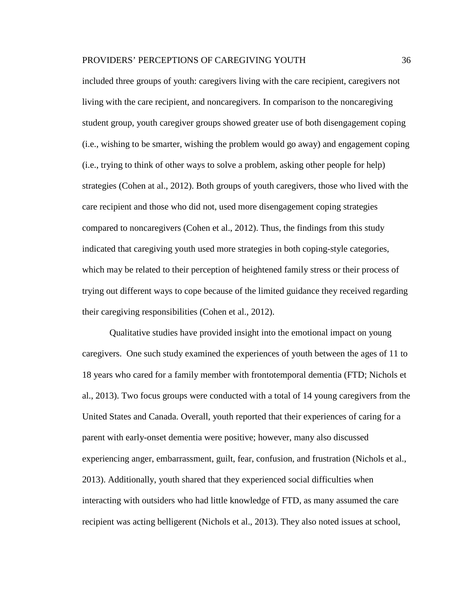included three groups of youth: caregivers living with the care recipient, caregivers not living with the care recipient, and noncaregivers. In comparison to the noncaregiving student group, youth caregiver groups showed greater use of both disengagement coping (i.e., wishing to be smarter, wishing the problem would go away) and engagement coping (i.e., trying to think of other ways to solve a problem, asking other people for help) strategies (Cohen at al., 2012). Both groups of youth caregivers, those who lived with the care recipient and those who did not, used more disengagement coping strategies compared to noncaregivers (Cohen et al., 2012). Thus, the findings from this study indicated that caregiving youth used more strategies in both coping-style categories, which may be related to their perception of heightened family stress or their process of trying out different ways to cope because of the limited guidance they received regarding their caregiving responsibilities (Cohen et al., 2012).

Qualitative studies have provided insight into the emotional impact on young caregivers. One such study examined the experiences of youth between the ages of 11 to 18 years who cared for a family member with frontotemporal dementia (FTD; Nichols et al., 2013). Two focus groups were conducted with a total of 14 young caregivers from the United States and Canada. Overall, youth reported that their experiences of caring for a parent with early-onset dementia were positive; however, many also discussed experiencing anger, embarrassment, guilt, fear, confusion, and frustration (Nichols et al., 2013). Additionally, youth shared that they experienced social difficulties when interacting with outsiders who had little knowledge of FTD, as many assumed the care recipient was acting belligerent (Nichols et al., 2013). They also noted issues at school,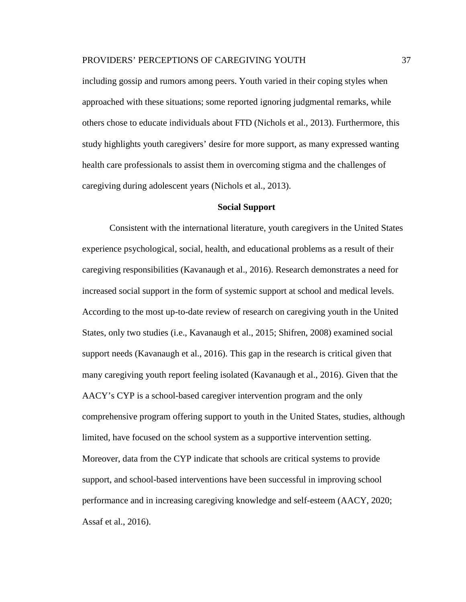including gossip and rumors among peers. Youth varied in their coping styles when approached with these situations; some reported ignoring judgmental remarks, while others chose to educate individuals about FTD (Nichols et al., 2013). Furthermore, this study highlights youth caregivers' desire for more support, as many expressed wanting health care professionals to assist them in overcoming stigma and the challenges of caregiving during adolescent years (Nichols et al., 2013).

#### **Social Support**

Consistent with the international literature, youth caregivers in the United States experience psychological, social, health, and educational problems as a result of their caregiving responsibilities (Kavanaugh et al., 2016). Research demonstrates a need for increased social support in the form of systemic support at school and medical levels. According to the most up-to-date review of research on caregiving youth in the United States, only two studies (i.e., Kavanaugh et al., 2015; Shifren, 2008) examined social support needs (Kavanaugh et al., 2016). This gap in the research is critical given that many caregiving youth report feeling isolated (Kavanaugh et al., 2016). Given that the AACY's CYP is a school-based caregiver intervention program and the only comprehensive program offering support to youth in the United States, studies, although limited, have focused on the school system as a supportive intervention setting. Moreover, data from the CYP indicate that schools are critical systems to provide support, and school-based interventions have been successful in improving school performance and in increasing caregiving knowledge and self-esteem (AACY, 2020; Assaf et al., 2016).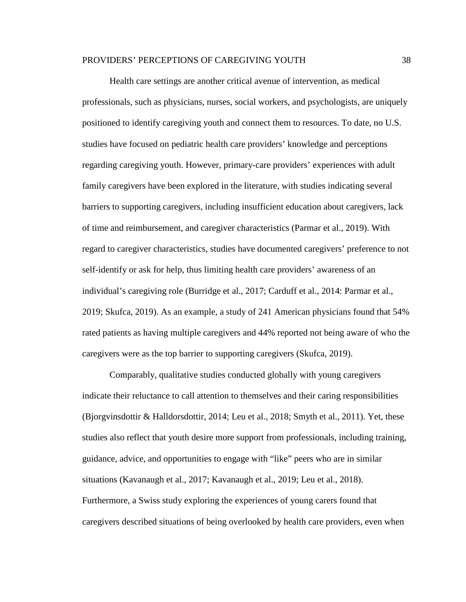Health care settings are another critical avenue of intervention, as medical professionals, such as physicians, nurses, social workers, and psychologists, are uniquely positioned to identify caregiving youth and connect them to resources. To date, no U.S. studies have focused on pediatric health care providers' knowledge and perceptions regarding caregiving youth. However, primary-care providers' experiences with adult family caregivers have been explored in the literature, with studies indicating several barriers to supporting caregivers, including insufficient education about caregivers, lack of time and reimbursement, and caregiver characteristics (Parmar et al., 2019). With regard to caregiver characteristics, studies have documented caregivers' preference to not self-identify or ask for help, thus limiting health care providers' awareness of an individual's caregiving role (Burridge et al., 2017; Carduff et al., 2014: Parmar et al., 2019; Skufca, 2019). As an example, a study of 241 American physicians found that 54% rated patients as having multiple caregivers and 44% reported not being aware of who the caregivers were as the top barrier to supporting caregivers (Skufca, 2019).

Comparably, qualitative studies conducted globally with young caregivers indicate their reluctance to call attention to themselves and their caring responsibilities (Bjorgvinsdottir & Halldorsdottir, 2014; Leu et al., 2018; Smyth et al., 2011). Yet, these studies also reflect that youth desire more support from professionals, including training, guidance, advice, and opportunities to engage with "like" peers who are in similar situations (Kavanaugh et al., 2017; Kavanaugh et al., 2019; Leu et al., 2018). Furthermore, a Swiss study exploring the experiences of young carers found that caregivers described situations of being overlooked by health care providers, even when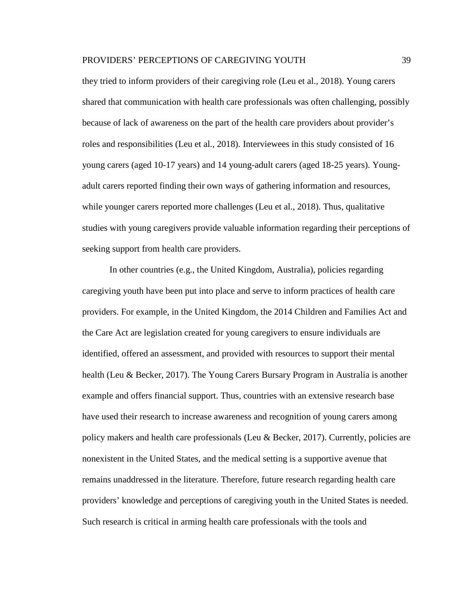they tried to inform providers of their caregiving role (Leu et al., 2018). Young carers shared that communication with health care professionals was often challenging, possibly because of lack of awareness on the part of the health care providers about provider's roles and responsibilities (Leu et al., 2018). Interviewees in this study consisted of 16 young carers (aged 10-17 years) and 14 young-adult carers (aged 18-25 years). Youngadult carers reported finding their own ways of gathering information and resources, while younger carers reported more challenges (Leu et al., 2018). Thus, qualitative studies with young caregivers provide valuable information regarding their perceptions of seeking support from health care providers.

In other countries (e.g., the United Kingdom, Australia), policies regarding caregiving youth have been put into place and serve to inform practices of health care providers. For example, in the United Kingdom, the 2014 Children and Families Act and the Care Act are legislation created for young caregivers to ensure individuals are identified, offered an assessment, and provided with resources to support their mental health (Leu & Becker, 2017). The Young Carers Bursary Program in Australia is another example and offers financial support. Thus, countries with an extensive research base have used their research to increase awareness and recognition of young carers among policy makers and health care professionals (Leu & Becker, 2017). Currently, policies are nonexistent in the United States, and the medical setting is a supportive avenue that remains unaddressed in the literature. Therefore, future research regarding health care providers' knowledge and perceptions of caregiving youth in the United States is needed. Such research is critical in arming health care professionals with the tools and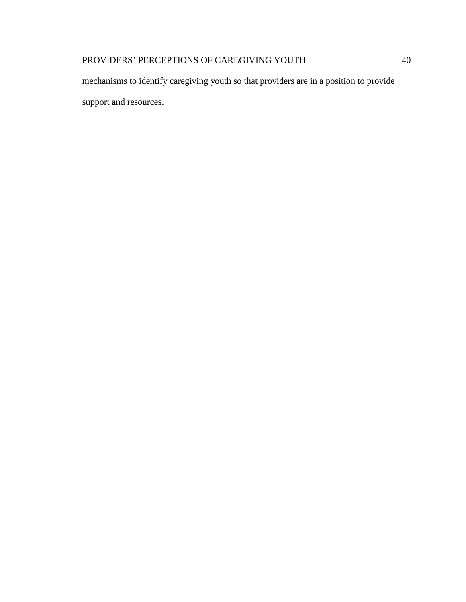mechanisms to identify caregiving youth so that providers are in a position to provide support and resources.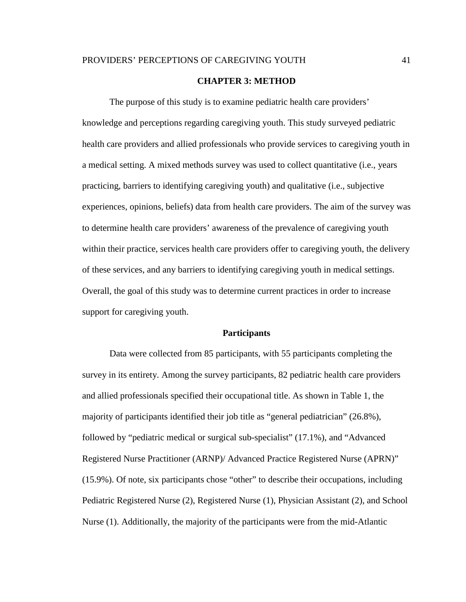#### **CHAPTER 3: METHOD**

The purpose of this study is to examine pediatric health care providers' knowledge and perceptions regarding caregiving youth. This study surveyed pediatric health care providers and allied professionals who provide services to caregiving youth in a medical setting. A mixed methods survey was used to collect quantitative (i.e., years practicing, barriers to identifying caregiving youth) and qualitative (i.e., subjective experiences, opinions, beliefs) data from health care providers. The aim of the survey was to determine health care providers' awareness of the prevalence of caregiving youth within their practice, services health care providers offer to caregiving youth, the delivery of these services, and any barriers to identifying caregiving youth in medical settings. Overall, the goal of this study was to determine current practices in order to increase support for caregiving youth.

### **Participants**

Data were collected from 85 participants, with 55 participants completing the survey in its entirety. Among the survey participants, 82 pediatric health care providers and allied professionals specified their occupational title. As shown in Table 1, the majority of participants identified their job title as "general pediatrician" (26.8%), followed by "pediatric medical or surgical sub-specialist" (17.1%), and "Advanced Registered Nurse Practitioner (ARNP)/ Advanced Practice Registered Nurse (APRN)" (15.9%). Of note, six participants chose "other" to describe their occupations, including Pediatric Registered Nurse (2), Registered Nurse (1), Physician Assistant (2), and School Nurse (1). Additionally, the majority of the participants were from the mid-Atlantic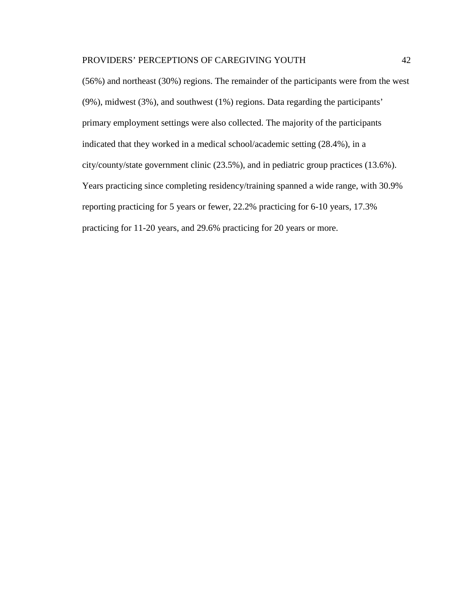(56%) and northeast (30%) regions. The remainder of the participants were from the west (9%), midwest (3%), and southwest (1%) regions. Data regarding the participants' primary employment settings were also collected. The majority of the participants indicated that they worked in a medical school/academic setting (28.4%), in a city/county/state government clinic (23.5%), and in pediatric group practices (13.6%). Years practicing since completing residency/training spanned a wide range, with 30.9% reporting practicing for 5 years or fewer, 22.2% practicing for 6-10 years, 17.3% practicing for 11-20 years, and 29.6% practicing for 20 years or more.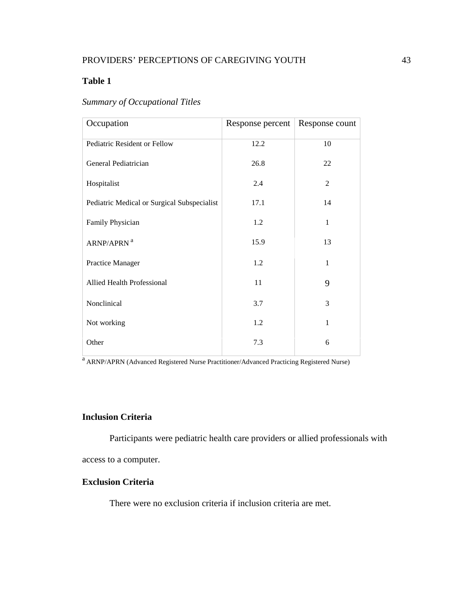## **Table 1**

|  |  | <b>Summary of Occupational Titles</b> |  |
|--|--|---------------------------------------|--|
|--|--|---------------------------------------|--|

| Occupation                                  | Response percent | Response count |
|---------------------------------------------|------------------|----------------|
| Pediatric Resident or Fellow                | 12.2             | 10             |
| General Pediatrician                        | 26.8             | 22             |
| Hospitalist                                 | 2.4              | 2              |
| Pediatric Medical or Surgical Subspecialist | 17.1             | 14             |
| Family Physician                            | 1.2              | $\mathbf{1}$   |
| ARNP/APRN <sup>a</sup>                      | 15.9             | 13             |
| Practice Manager                            | 1.2              | 1              |
| <b>Allied Health Professional</b>           | 11               | 9              |
| Nonclinical                                 | 3.7              | 3              |
| Not working                                 | 1.2              | 1              |
| Other                                       | 7.3              | 6              |

<sup>a</sup> ARNP/APRN (Advanced Registered Nurse Practitioner/Advanced Practicing Registered Nurse)

## **Inclusion Criteria**

Participants were pediatric health care providers or allied professionals with

access to a computer.

## **Exclusion Criteria**

There were no exclusion criteria if inclusion criteria are met.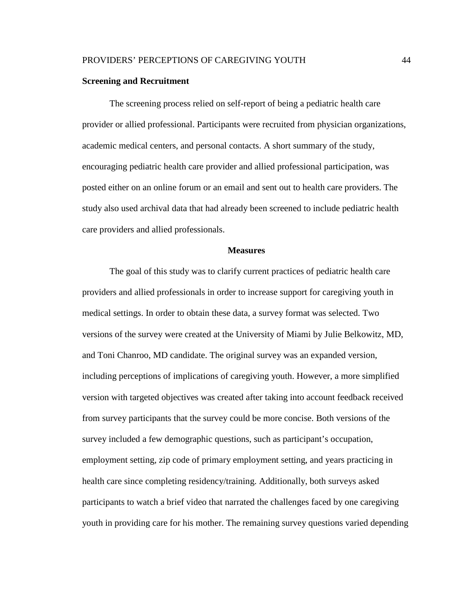### **Screening and Recruitment**

The screening process relied on self-report of being a pediatric health care provider or allied professional. Participants were recruited from physician organizations, academic medical centers, and personal contacts. A short summary of the study, encouraging pediatric health care provider and allied professional participation, was posted either on an online forum or an email and sent out to health care providers. The study also used archival data that had already been screened to include pediatric health care providers and allied professionals.

### **Measures**

The goal of this study was to clarify current practices of pediatric health care providers and allied professionals in order to increase support for caregiving youth in medical settings. In order to obtain these data, a survey format was selected. Two versions of the survey were created at the University of Miami by Julie Belkowitz, MD, and Toni Chanroo, MD candidate. The original survey was an expanded version, including perceptions of implications of caregiving youth. However, a more simplified version with targeted objectives was created after taking into account feedback received from survey participants that the survey could be more concise. Both versions of the survey included a few demographic questions, such as participant's occupation, employment setting, zip code of primary employment setting, and years practicing in health care since completing residency/training. Additionally, both surveys asked participants to watch a brief video that narrated the challenges faced by one caregiving youth in providing care for his mother. The remaining survey questions varied depending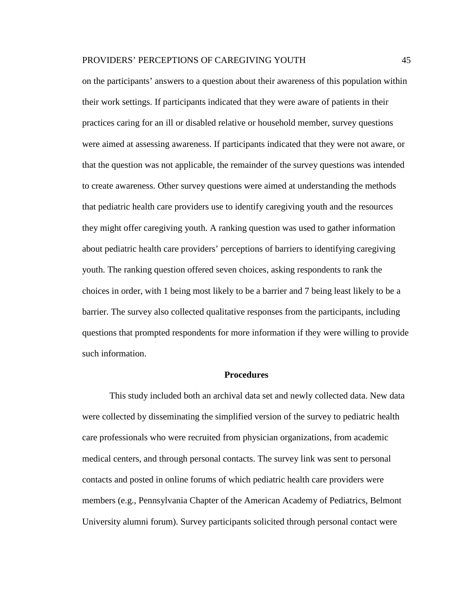on the participants' answers to a question about their awareness of this population within their work settings. If participants indicated that they were aware of patients in their practices caring for an ill or disabled relative or household member, survey questions were aimed at assessing awareness. If participants indicated that they were not aware, or that the question was not applicable, the remainder of the survey questions was intended to create awareness. Other survey questions were aimed at understanding the methods that pediatric health care providers use to identify caregiving youth and the resources they might offer caregiving youth. A ranking question was used to gather information about pediatric health care providers' perceptions of barriers to identifying caregiving youth. The ranking question offered seven choices, asking respondents to rank the choices in order, with 1 being most likely to be a barrier and 7 being least likely to be a barrier. The survey also collected qualitative responses from the participants, including questions that prompted respondents for more information if they were willing to provide such information.

#### **Procedures**

This study included both an archival data set and newly collected data. New data were collected by disseminating the simplified version of the survey to pediatric health care professionals who were recruited from physician organizations, from academic medical centers, and through personal contacts. The survey link was sent to personal contacts and posted in online forums of which pediatric health care providers were members (e.g., Pennsylvania Chapter of the American Academy of Pediatrics, Belmont University alumni forum). Survey participants solicited through personal contact were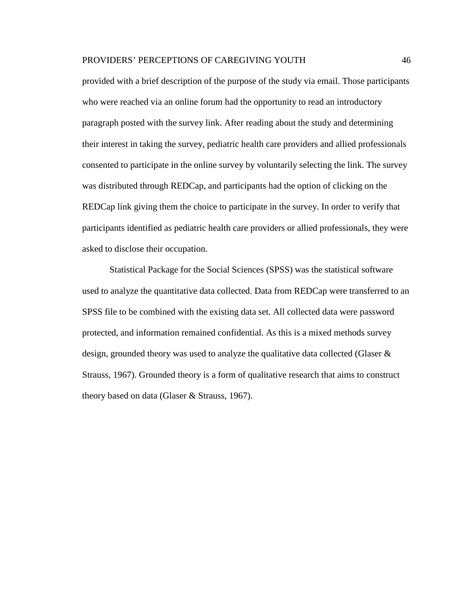provided with a brief description of the purpose of the study via email. Those participants who were reached via an online forum had the opportunity to read an introductory paragraph posted with the survey link. After reading about the study and determining their interest in taking the survey, pediatric health care providers and allied professionals consented to participate in the online survey by voluntarily selecting the link. The survey was distributed through REDCap, and participants had the option of clicking on the REDCap link giving them the choice to participate in the survey. In order to verify that participants identified as pediatric health care providers or allied professionals, they were asked to disclose their occupation.

Statistical Package for the Social Sciences (SPSS) was the statistical software used to analyze the quantitative data collected. Data from REDCap were transferred to an SPSS file to be combined with the existing data set. All collected data were password protected, and information remained confidential. As this is a mixed methods survey design, grounded theory was used to analyze the qualitative data collected (Glaser & Strauss, 1967). Grounded theory is a form of qualitative research that aims to construct theory based on data (Glaser & Strauss, 1967).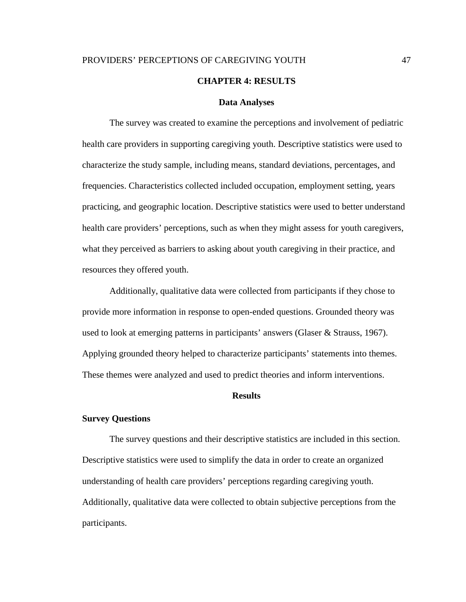## PROVIDERS' PERCEPTIONS OF CAREGIVING YOUTH 47 **CHAPTER 4: RESULTS**

## **Data Analyses**

The survey was created to examine the perceptions and involvement of pediatric health care providers in supporting caregiving youth. Descriptive statistics were used to characterize the study sample, including means, standard deviations, percentages, and frequencies. Characteristics collected included occupation, employment setting, years practicing, and geographic location. Descriptive statistics were used to better understand health care providers' perceptions, such as when they might assess for youth caregivers, what they perceived as barriers to asking about youth caregiving in their practice, and resources they offered youth.

Additionally, qualitative data were collected from participants if they chose to provide more information in response to open-ended questions. Grounded theory was used to look at emerging patterns in participants' answers (Glaser & Strauss, 1967). Applying grounded theory helped to characterize participants' statements into themes. These themes were analyzed and used to predict theories and inform interventions.

#### **Results**

### **Survey Questions**

The survey questions and their descriptive statistics are included in this section. Descriptive statistics were used to simplify the data in order to create an organized understanding of health care providers' perceptions regarding caregiving youth. Additionally, qualitative data were collected to obtain subjective perceptions from the participants.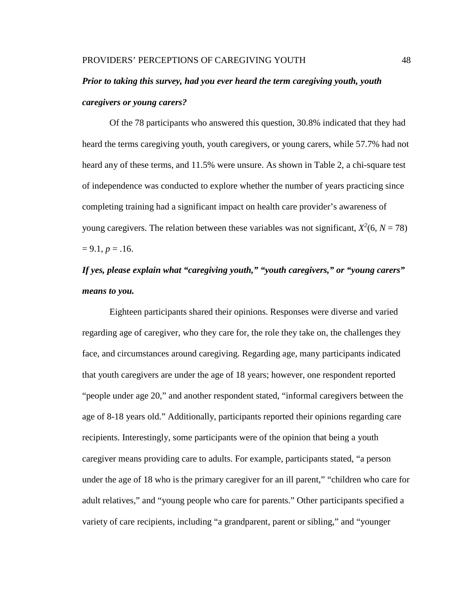## *Prior to taking this survey, had you ever heard the term caregiving youth, youth caregivers or young carers?*

Of the 78 participants who answered this question, 30.8% indicated that they had heard the terms caregiving youth, youth caregivers, or young carers, while 57.7% had not heard any of these terms, and 11.5% were unsure. As shown in Table 2, a chi-square test of independence was conducted to explore whether the number of years practicing since completing training had a significant impact on health care provider's awareness of young caregivers. The relation between these variables was not significant,  $X^2(6, N = 78)$  $= 9.1, p = .16.$ 

# *If yes, please explain what "caregiving youth," "youth caregivers," or "young carers" means to you.*

Eighteen participants shared their opinions. Responses were diverse and varied regarding age of caregiver, who they care for, the role they take on, the challenges they face, and circumstances around caregiving. Regarding age, many participants indicated that youth caregivers are under the age of 18 years; however, one respondent reported "people under age 20," and another respondent stated, "informal caregivers between the age of 8-18 years old." Additionally, participants reported their opinions regarding care recipients. Interestingly, some participants were of the opinion that being a youth caregiver means providing care to adults. For example, participants stated, "a person under the age of 18 who is the primary caregiver for an ill parent," "children who care for adult relatives," and "young people who care for parents." Other participants specified a variety of care recipients, including "a grandparent, parent or sibling," and "younger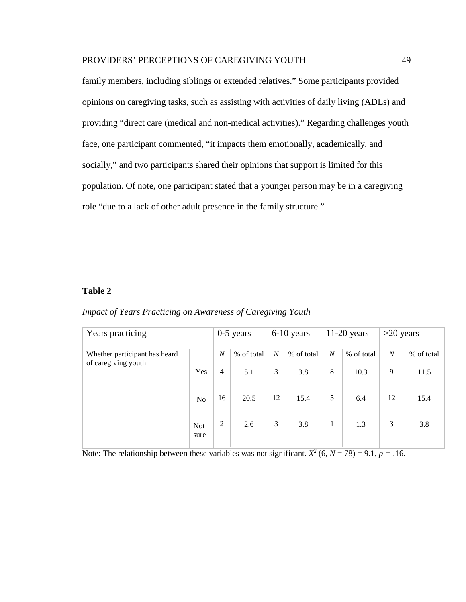family members, including siblings or extended relatives." Some participants provided opinions on caregiving tasks, such as assisting with activities of daily living (ADLs) and providing "direct care (medical and non-medical activities)." Regarding challenges youth face, one participant commented, "it impacts them emotionally, academically, and socially," and two participants shared their opinions that support is limited for this population. Of note, one participant stated that a younger person may be in a caregiving role "due to a lack of other adult presence in the family structure."

## **Table 2**

| Impact of Years Practicing on Awareness of Caregiving Youth |  |  |  |
|-------------------------------------------------------------|--|--|--|
|-------------------------------------------------------------|--|--|--|

| Years practicing                                     |                    | $0-5$ years    |            | $6-10$ years     |            | $11-20$ years    |            | $>20$ years      |            |
|------------------------------------------------------|--------------------|----------------|------------|------------------|------------|------------------|------------|------------------|------------|
| Whether participant has heard<br>of caregiving youth |                    | $\overline{N}$ | % of total | $\boldsymbol{N}$ | % of total | $\boldsymbol{N}$ | % of total | $\boldsymbol{N}$ | % of total |
|                                                      | Yes                | $\overline{4}$ | 5.1        | 3                | 3.8        | 8                | 10.3       | 9                | 11.5       |
|                                                      | N <sub>o</sub>     | 16             | 20.5       | 12               | 15.4       | 5                | 6.4        | 12               | 15.4       |
|                                                      | <b>Not</b><br>sure | 2              | 2.6        | 3                | 3.8        | 1                | 1.3        | 3                | 3.8        |

Note: The relationship between these variables was not significant.  $X^2$  (6,  $N = 78$ ) = 9.1,  $p = .16$ .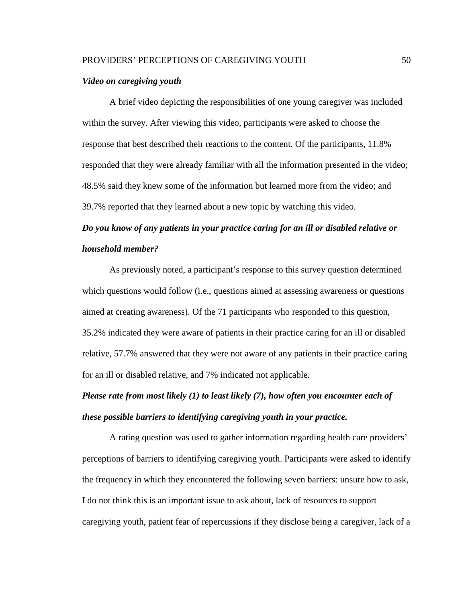#### *Video on caregiving youth*

A brief video depicting the responsibilities of one young caregiver was included within the survey. After viewing this video, participants were asked to choose the response that best described their reactions to the content. Of the participants, 11.8% responded that they were already familiar with all the information presented in the video; 48.5% said they knew some of the information but learned more from the video; and 39.7% reported that they learned about a new topic by watching this video.

# *Do you know of any patients in your practice caring for an ill or disabled relative or household member?*

As previously noted, a participant's response to this survey question determined which questions would follow (i.e., questions aimed at assessing awareness or questions aimed at creating awareness). Of the 71 participants who responded to this question, 35.2% indicated they were aware of patients in their practice caring for an ill or disabled relative, 57.7% answered that they were not aware of any patients in their practice caring for an ill or disabled relative, and 7% indicated not applicable.

# *Please rate from most likely (1) to least likely (7), how often you encounter each of these possible barriers to identifying caregiving youth in your practice.*

A rating question was used to gather information regarding health care providers' perceptions of barriers to identifying caregiving youth. Participants were asked to identify the frequency in which they encountered the following seven barriers: unsure how to ask, I do not think this is an important issue to ask about, lack of resources to support caregiving youth, patient fear of repercussions if they disclose being a caregiver, lack of a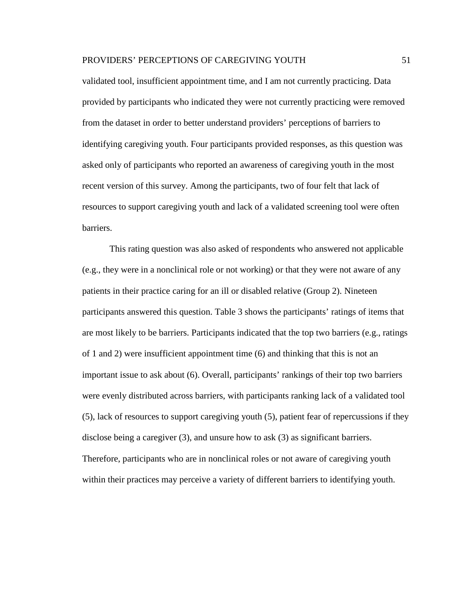validated tool, insufficient appointment time, and I am not currently practicing. Data provided by participants who indicated they were not currently practicing were removed from the dataset in order to better understand providers' perceptions of barriers to identifying caregiving youth. Four participants provided responses, as this question was asked only of participants who reported an awareness of caregiving youth in the most recent version of this survey. Among the participants, two of four felt that lack of resources to support caregiving youth and lack of a validated screening tool were often barriers.

This rating question was also asked of respondents who answered not applicable (e.g., they were in a nonclinical role or not working) or that they were not aware of any patients in their practice caring for an ill or disabled relative (Group 2). Nineteen participants answered this question. Table 3 shows the participants' ratings of items that are most likely to be barriers. Participants indicated that the top two barriers (e.g., ratings of 1 and 2) were insufficient appointment time (6) and thinking that this is not an important issue to ask about (6). Overall, participants' rankings of their top two barriers were evenly distributed across barriers, with participants ranking lack of a validated tool (5), lack of resources to support caregiving youth (5), patient fear of repercussions if they disclose being a caregiver (3), and unsure how to ask (3) as significant barriers. Therefore, participants who are in nonclinical roles or not aware of caregiving youth within their practices may perceive a variety of different barriers to identifying youth.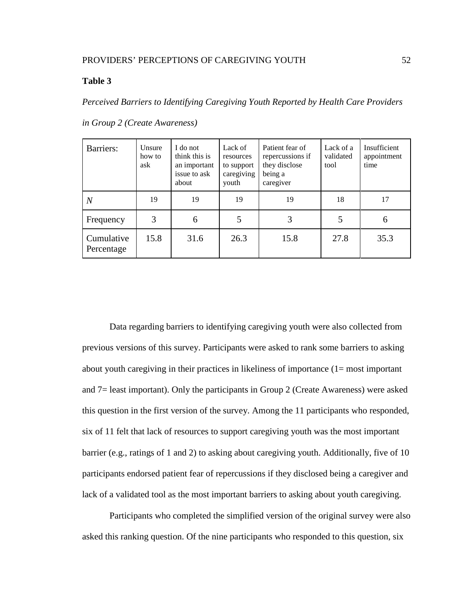## **Table 3**

*Perceived Barriers to Identifying Caregiving Youth Reported by Health Care Providers* 

| Barriers:                | Unsure<br>how to<br>ask | I do not<br>think this is<br>an important<br>issue to ask<br>about | Lack of<br>resources<br>to support<br>caregiving<br>youth | Patient fear of<br>repercussions if<br>they disclose<br>being a<br>caregiver | Lack of a<br>validated<br>tool | Insufficient<br>appointment<br>time |
|--------------------------|-------------------------|--------------------------------------------------------------------|-----------------------------------------------------------|------------------------------------------------------------------------------|--------------------------------|-------------------------------------|
| N                        | 19                      | 19                                                                 | 19                                                        | 19                                                                           | 18                             | 17                                  |
| Frequency                | 3                       | 6                                                                  |                                                           | 3                                                                            |                                | 6                                   |
| Cumulative<br>Percentage | 15.8                    | 31.6                                                               | 26.3                                                      | 15.8                                                                         | 27.8                           | 35.3                                |

*in Group 2 (Create Awareness)* 

Data regarding barriers to identifying caregiving youth were also collected from previous versions of this survey. Participants were asked to rank some barriers to asking about youth caregiving in their practices in likeliness of importance (1= most important and 7= least important). Only the participants in Group 2 (Create Awareness) were asked this question in the first version of the survey. Among the 11 participants who responded, six of 11 felt that lack of resources to support caregiving youth was the most important barrier (e.g., ratings of 1 and 2) to asking about caregiving youth. Additionally, five of 10 participants endorsed patient fear of repercussions if they disclosed being a caregiver and lack of a validated tool as the most important barriers to asking about youth caregiving.

Participants who completed the simplified version of the original survey were also asked this ranking question. Of the nine participants who responded to this question, six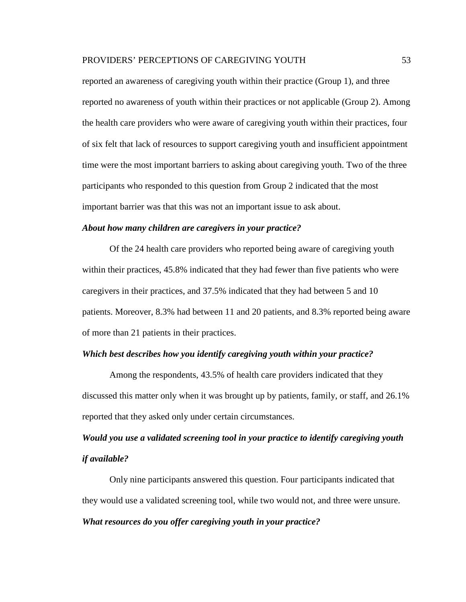reported an awareness of caregiving youth within their practice (Group 1), and three reported no awareness of youth within their practices or not applicable (Group 2). Among the health care providers who were aware of caregiving youth within their practices, four of six felt that lack of resources to support caregiving youth and insufficient appointment time were the most important barriers to asking about caregiving youth. Two of the three participants who responded to this question from Group 2 indicated that the most important barrier was that this was not an important issue to ask about.

#### *About how many children are caregivers in your practice?*

Of the 24 health care providers who reported being aware of caregiving youth within their practices, 45.8% indicated that they had fewer than five patients who were caregivers in their practices, and 37.5% indicated that they had between 5 and 10 patients. Moreover, 8.3% had between 11 and 20 patients, and 8.3% reported being aware of more than 21 patients in their practices.

### *Which best describes how you identify caregiving youth within your practice?*

Among the respondents, 43.5% of health care providers indicated that they discussed this matter only when it was brought up by patients, family, or staff, and 26.1% reported that they asked only under certain circumstances.

## *Would you use a validated screening tool in your practice to identify caregiving youth if available?*

Only nine participants answered this question. Four participants indicated that they would use a validated screening tool, while two would not, and three were unsure. *What resources do you offer caregiving youth in your practice?*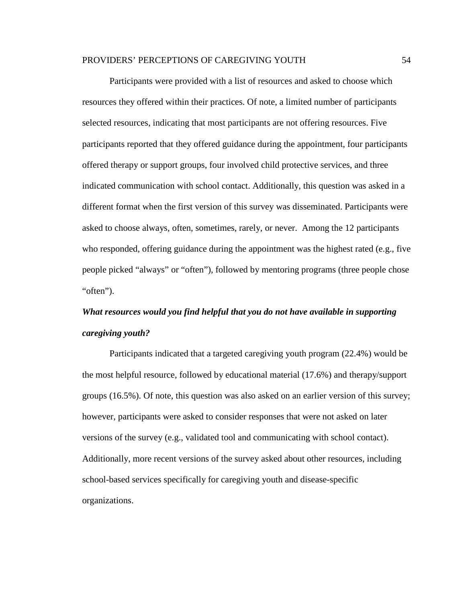Participants were provided with a list of resources and asked to choose which resources they offered within their practices. Of note, a limited number of participants selected resources, indicating that most participants are not offering resources. Five participants reported that they offered guidance during the appointment, four participants offered therapy or support groups, four involved child protective services, and three indicated communication with school contact. Additionally, this question was asked in a different format when the first version of this survey was disseminated. Participants were asked to choose always, often, sometimes, rarely, or never. Among the 12 participants who responded, offering guidance during the appointment was the highest rated (e.g., five people picked "always" or "often"), followed by mentoring programs (three people chose "often").

# *What resources would you find helpful that you do not have available in supporting caregiving youth?*

Participants indicated that a targeted caregiving youth program (22.4%) would be the most helpful resource, followed by educational material (17.6%) and therapy/support groups (16.5%). Of note, this question was also asked on an earlier version of this survey; however, participants were asked to consider responses that were not asked on later versions of the survey (e.g., validated tool and communicating with school contact). Additionally, more recent versions of the survey asked about other resources, including school-based services specifically for caregiving youth and disease-specific organizations.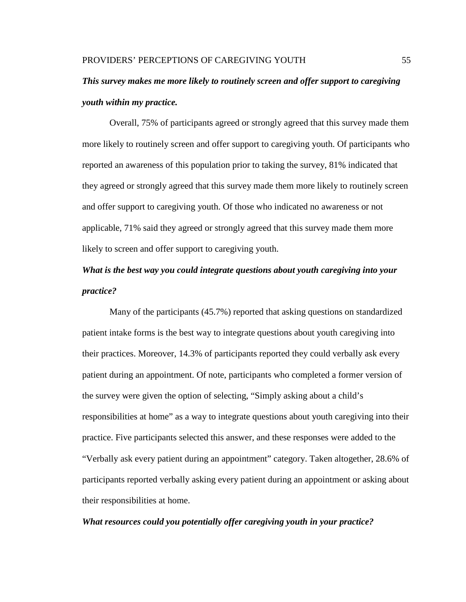# *This survey makes me more likely to routinely screen and offer support to caregiving youth within my practice.*

Overall, 75% of participants agreed or strongly agreed that this survey made them more likely to routinely screen and offer support to caregiving youth. Of participants who reported an awareness of this population prior to taking the survey, 81% indicated that they agreed or strongly agreed that this survey made them more likely to routinely screen and offer support to caregiving youth. Of those who indicated no awareness or not applicable, 71% said they agreed or strongly agreed that this survey made them more likely to screen and offer support to caregiving youth.

## *What is the best way you could integrate questions about youth caregiving into your practice?*

Many of the participants (45.7%) reported that asking questions on standardized patient intake forms is the best way to integrate questions about youth caregiving into their practices. Moreover, 14.3% of participants reported they could verbally ask every patient during an appointment. Of note, participants who completed a former version of the survey were given the option of selecting, "Simply asking about a child's responsibilities at home" as a way to integrate questions about youth caregiving into their practice. Five participants selected this answer, and these responses were added to the "Verbally ask every patient during an appointment" category. Taken altogether, 28.6% of participants reported verbally asking every patient during an appointment or asking about their responsibilities at home.

### *What resources could you potentially offer caregiving youth in your practice?*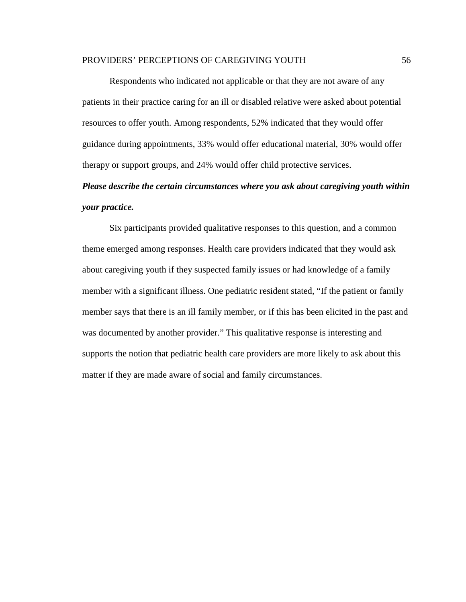Respondents who indicated not applicable or that they are not aware of any patients in their practice caring for an ill or disabled relative were asked about potential resources to offer youth. Among respondents, 52% indicated that they would offer guidance during appointments, 33% would offer educational material, 30% would offer therapy or support groups, and 24% would offer child protective services.

## *Please describe the certain circumstances where you ask about caregiving youth within your practice.*

Six participants provided qualitative responses to this question, and a common theme emerged among responses. Health care providers indicated that they would ask about caregiving youth if they suspected family issues or had knowledge of a family member with a significant illness. One pediatric resident stated, "If the patient or family member says that there is an ill family member, or if this has been elicited in the past and was documented by another provider." This qualitative response is interesting and supports the notion that pediatric health care providers are more likely to ask about this matter if they are made aware of social and family circumstances.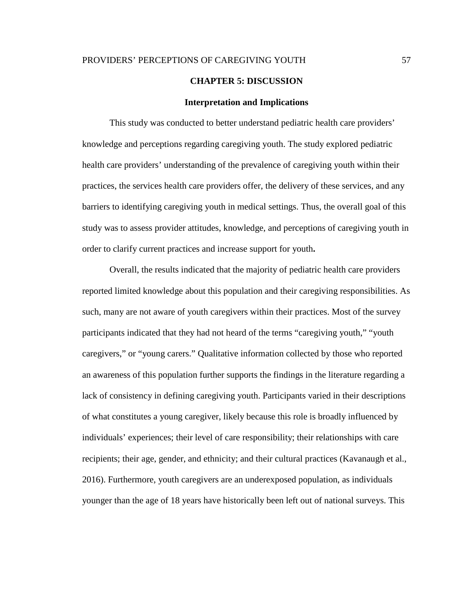#### **CHAPTER 5: DISCUSSION**

#### **Interpretation and Implications**

This study was conducted to better understand pediatric health care providers' knowledge and perceptions regarding caregiving youth. The study explored pediatric health care providers' understanding of the prevalence of caregiving youth within their practices, the services health care providers offer, the delivery of these services, and any barriers to identifying caregiving youth in medical settings. Thus, the overall goal of this study was to assess provider attitudes, knowledge, and perceptions of caregiving youth in order to clarify current practices and increase support for youth**.**

Overall, the results indicated that the majority of pediatric health care providers reported limited knowledge about this population and their caregiving responsibilities. As such, many are not aware of youth caregivers within their practices. Most of the survey participants indicated that they had not heard of the terms "caregiving youth," "youth caregivers," or "young carers." Qualitative information collected by those who reported an awareness of this population further supports the findings in the literature regarding a lack of consistency in defining caregiving youth. Participants varied in their descriptions of what constitutes a young caregiver, likely because this role is broadly influenced by individuals' experiences; their level of care responsibility; their relationships with care recipients; their age, gender, and ethnicity; and their cultural practices (Kavanaugh et al., 2016). Furthermore, youth caregivers are an underexposed population, as individuals younger than the age of 18 years have historically been left out of national surveys. This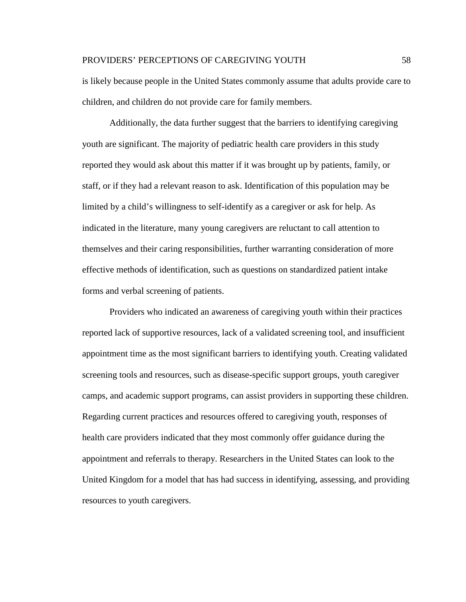is likely because people in the United States commonly assume that adults provide care to children, and children do not provide care for family members.

Additionally, the data further suggest that the barriers to identifying caregiving youth are significant. The majority of pediatric health care providers in this study reported they would ask about this matter if it was brought up by patients, family, or staff, or if they had a relevant reason to ask. Identification of this population may be limited by a child's willingness to self-identify as a caregiver or ask for help. As indicated in the literature, many young caregivers are reluctant to call attention to themselves and their caring responsibilities, further warranting consideration of more effective methods of identification, such as questions on standardized patient intake forms and verbal screening of patients.

Providers who indicated an awareness of caregiving youth within their practices reported lack of supportive resources, lack of a validated screening tool, and insufficient appointment time as the most significant barriers to identifying youth. Creating validated screening tools and resources, such as disease-specific support groups, youth caregiver camps, and academic support programs, can assist providers in supporting these children. Regarding current practices and resources offered to caregiving youth, responses of health care providers indicated that they most commonly offer guidance during the appointment and referrals to therapy. Researchers in the United States can look to the United Kingdom for a model that has had success in identifying, assessing, and providing resources to youth caregivers.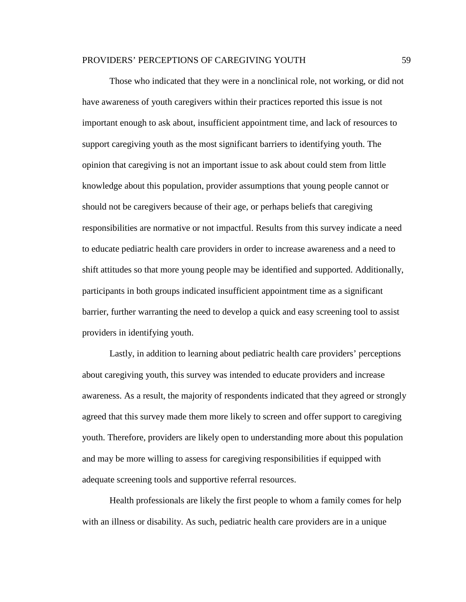Those who indicated that they were in a nonclinical role, not working, or did not have awareness of youth caregivers within their practices reported this issue is not important enough to ask about, insufficient appointment time, and lack of resources to support caregiving youth as the most significant barriers to identifying youth. The opinion that caregiving is not an important issue to ask about could stem from little knowledge about this population, provider assumptions that young people cannot or should not be caregivers because of their age, or perhaps beliefs that caregiving responsibilities are normative or not impactful. Results from this survey indicate a need to educate pediatric health care providers in order to increase awareness and a need to shift attitudes so that more young people may be identified and supported. Additionally, participants in both groups indicated insufficient appointment time as a significant barrier, further warranting the need to develop a quick and easy screening tool to assist providers in identifying youth.

Lastly, in addition to learning about pediatric health care providers' perceptions about caregiving youth, this survey was intended to educate providers and increase awareness. As a result, the majority of respondents indicated that they agreed or strongly agreed that this survey made them more likely to screen and offer support to caregiving youth. Therefore, providers are likely open to understanding more about this population and may be more willing to assess for caregiving responsibilities if equipped with adequate screening tools and supportive referral resources.

Health professionals are likely the first people to whom a family comes for help with an illness or disability. As such, pediatric health care providers are in a unique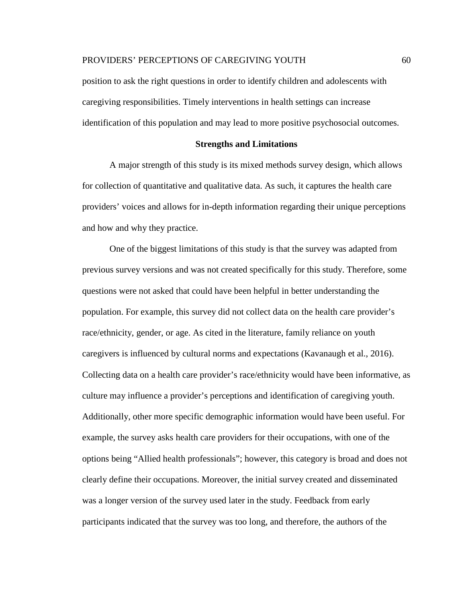position to ask the right questions in order to identify children and adolescents with caregiving responsibilities. Timely interventions in health settings can increase identification of this population and may lead to more positive psychosocial outcomes.

#### **Strengths and Limitations**

A major strength of this study is its mixed methods survey design, which allows for collection of quantitative and qualitative data. As such, it captures the health care providers' voices and allows for in-depth information regarding their unique perceptions and how and why they practice.

One of the biggest limitations of this study is that the survey was adapted from previous survey versions and was not created specifically for this study. Therefore, some questions were not asked that could have been helpful in better understanding the population. For example, this survey did not collect data on the health care provider's race/ethnicity, gender, or age. As cited in the literature, family reliance on youth caregivers is influenced by cultural norms and expectations (Kavanaugh et al., 2016). Collecting data on a health care provider's race/ethnicity would have been informative, as culture may influence a provider's perceptions and identification of caregiving youth. Additionally, other more specific demographic information would have been useful. For example, the survey asks health care providers for their occupations, with one of the options being "Allied health professionals"; however, this category is broad and does not clearly define their occupations. Moreover, the initial survey created and disseminated was a longer version of the survey used later in the study. Feedback from early participants indicated that the survey was too long, and therefore, the authors of the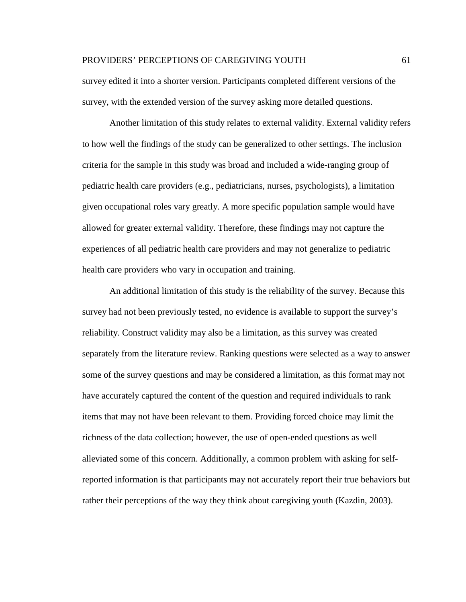survey edited it into a shorter version. Participants completed different versions of the survey, with the extended version of the survey asking more detailed questions.

Another limitation of this study relates to external validity. External validity refers to how well the findings of the study can be generalized to other settings. The inclusion criteria for the sample in this study was broad and included a wide-ranging group of pediatric health care providers (e.g., pediatricians, nurses, psychologists), a limitation given occupational roles vary greatly. A more specific population sample would have allowed for greater external validity. Therefore, these findings may not capture the experiences of all pediatric health care providers and may not generalize to pediatric health care providers who vary in occupation and training.

An additional limitation of this study is the reliability of the survey. Because this survey had not been previously tested, no evidence is available to support the survey's reliability. Construct validity may also be a limitation, as this survey was created separately from the literature review. Ranking questions were selected as a way to answer some of the survey questions and may be considered a limitation, as this format may not have accurately captured the content of the question and required individuals to rank items that may not have been relevant to them. Providing forced choice may limit the richness of the data collection; however, the use of open-ended questions as well alleviated some of this concern. Additionally, a common problem with asking for selfreported information is that participants may not accurately report their true behaviors but rather their perceptions of the way they think about caregiving youth (Kazdin, 2003).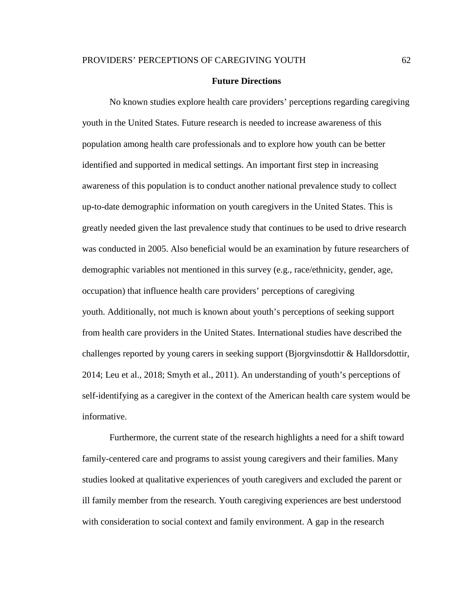#### **Future Directions**

No known studies explore health care providers' perceptions regarding caregiving youth in the United States. Future research is needed to increase awareness of this population among health care professionals and to explore how youth can be better identified and supported in medical settings. An important first step in increasing awareness of this population is to conduct another national prevalence study to collect up-to-date demographic information on youth caregivers in the United States. This is greatly needed given the last prevalence study that continues to be used to drive research was conducted in 2005. Also beneficial would be an examination by future researchers of demographic variables not mentioned in this survey (e.g., race/ethnicity, gender, age, occupation) that influence health care providers' perceptions of caregiving youth. Additionally, not much is known about youth's perceptions of seeking support from health care providers in the United States. International studies have described the challenges reported by young carers in seeking support (Bjorgvinsdottir & Halldorsdottir, 2014; Leu et al., 2018; Smyth et al., 2011). An understanding of youth's perceptions of self-identifying as a caregiver in the context of the American health care system would be informative.

Furthermore, the current state of the research highlights a need for a shift toward family-centered care and programs to assist young caregivers and their families. Many studies looked at qualitative experiences of youth caregivers and excluded the parent or ill family member from the research. Youth caregiving experiences are best understood with consideration to social context and family environment. A gap in the research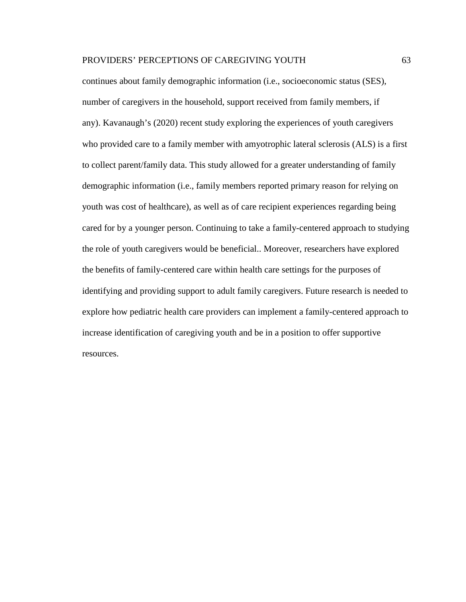continues about family demographic information (i.e., socioeconomic status (SES), number of caregivers in the household, support received from family members, if any). Kavanaugh's (2020) recent study exploring the experiences of youth caregivers who provided care to a family member with amyotrophic lateral sclerosis (ALS) is a first to collect parent/family data. This study allowed for a greater understanding of family demographic information (i.e., family members reported primary reason for relying on youth was cost of healthcare), as well as of care recipient experiences regarding being cared for by a younger person. Continuing to take a family-centered approach to studying the role of youth caregivers would be beneficial.. Moreover, researchers have explored the benefits of family-centered care within health care settings for the purposes of identifying and providing support to adult family caregivers. Future research is needed to explore how pediatric health care providers can implement a family-centered approach to increase identification of caregiving youth and be in a position to offer supportive resources.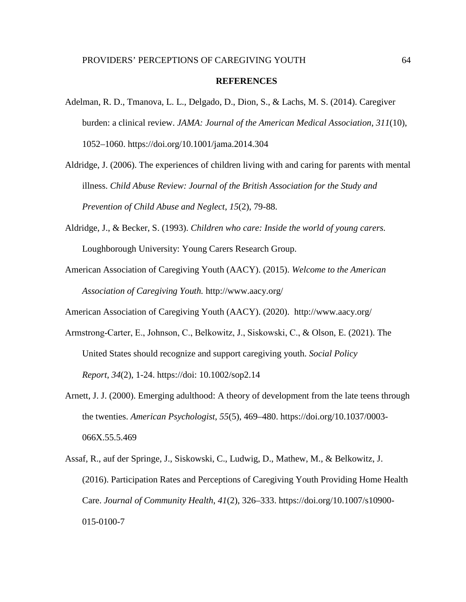#### **REFERENCES**

- Adelman, R. D., Tmanova, L. L., Delgado, D., Dion, S., & Lachs, M. S. (2014). Caregiver burden: a clinical review. *JAMA: Journal of the American Medical Association*, *311*(10), 1052–1060. https://doi.org/10.1001/jama.2014.304
- Aldridge, J. (2006). The experiences of children living with and caring for parents with mental illness. *Child Abuse Review: Journal of the British Association for the Study and Prevention of Child Abuse and Neglect*, *15*(2), 79-88.
- Aldridge, J., & Becker, S. (1993). *Children who care: Inside the world of young carers.* Loughborough University: Young Carers Research Group.
- American Association of Caregiving Youth (AACY). (2015). *Welcome to the American Association of Caregiving Youth.* <http://www.aacy.org/>

American Association of Caregiving Youth (AACY). (2020). <http://www.aacy.org/>

- Armstrong‐Carter, E., Johnson, C., Belkowitz, J., Siskowski, C., & Olson, E. (2021). The United States should recognize and support caregiving youth. *Social Policy Report*, *34*(2), 1-24. https://doi: 10.1002/sop2.14
- Arnett, J. J. (2000). Emerging adulthood: A theory of development from the late teens through the twenties. *American Psychologist*, *55*(5), 469–480. https://doi.org/10.1037/0003- 066X.55.5.469
- Assaf, R., auf der Springe, J., Siskowski, C., Ludwig, D., Mathew, M., & Belkowitz, J. (2016). Participation Rates and Perceptions of Caregiving Youth Providing Home Health Care. *Journal of Community Health*, *41*(2), 326–333. https://doi.org/10.1007/s10900- 015-0100-7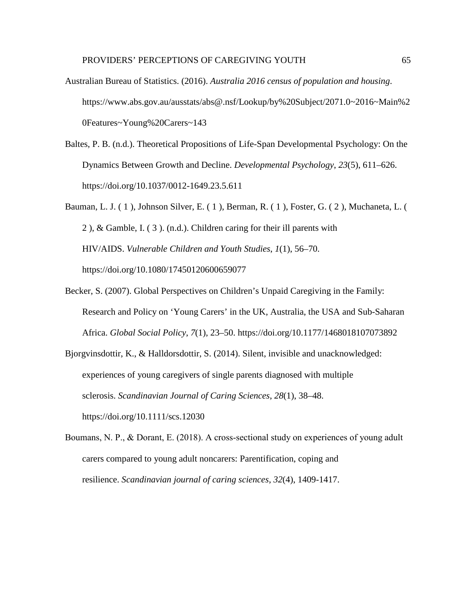- Australian Bureau of Statistics. (2016). *Australia 2016 census of population and housing*. [https://www.abs.gov.au/ausstats/abs@.nsf/Lookup/by%20Subject/2071.0~2016~Main%2](https://www.abs.gov.au/ausstats/abs@.nsf/Lookup/by%20Subject/2071.0%7E2016%7EMain%20Features%7EYoung%20Carers%7E143) [0Features~Young%20Carers~143](https://www.abs.gov.au/ausstats/abs@.nsf/Lookup/by%20Subject/2071.0%7E2016%7EMain%20Features%7EYoung%20Carers%7E143)
- Baltes, P. B. (n.d.). Theoretical Propositions of Life-Span Developmental Psychology: On the Dynamics Between Growth and Decline. *Developmental Psychology*, *23*(5), 611–626. https://doi.org/10.1037/0012-1649.23.5.611
- Bauman, L. J. ( 1 ), Johnson Silver, E. ( 1 ), Berman, R. ( 1 ), Foster, G. ( 2 ), Muchaneta, L. ( 2 ), & Gamble, I. ( 3 ). (n.d.). Children caring for their ill parents with HIV/AIDS. *Vulnerable Children and Youth Studies*, *1*(1), 56–70. https://doi.org/10.1080/17450120600659077
- Becker, S. (2007). Global Perspectives on Children's Unpaid Caregiving in the Family: Research and Policy on 'Young Carers' in the UK, Australia, the USA and Sub-Saharan Africa. *Global Social Policy*, *7*(1), 23–50. <https://doi.org/10.1177/1468018107073892>
- Bjorgvinsdottir, K., & Halldorsdottir, S. (2014). Silent, invisible and unacknowledged: experiences of young caregivers of single parents diagnosed with multiple sclerosis. *Scandinavian Journal of Caring Sciences*, *28*(1), 38–48. https://doi.org/10.1111/scs.12030
- Boumans, N. P., & Dorant, E. (2018). A cross‐sectional study on experiences of young adult carers compared to young adult noncarers: Parentification, coping and resilience. *Scandinavian journal of caring sciences*, *32*(4), 1409-1417.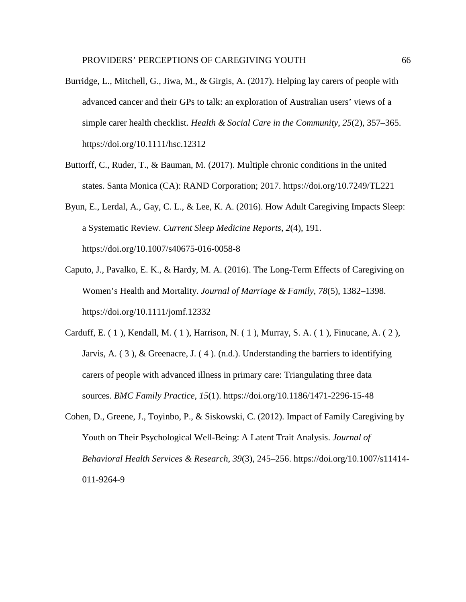- Burridge, L., Mitchell, G., Jiwa, M., & Girgis, A. (2017). Helping lay carers of people with advanced cancer and their GPs to talk: an exploration of Australian users' views of a simple carer health checklist. *Health & Social Care in the Community*, *25*(2), 357–365. https://doi.org/10.1111/hsc.12312
- Buttorff, C., Ruder, T., & Bauman, M. (2017). Multiple chronic conditions in the united states. Santa Monica (CA): RAND Corporation; 2017. <https://doi.org/10.7249/TL221>
- Byun, E., Lerdal, A., Gay, C. L., & Lee, K. A. (2016). How Adult Caregiving Impacts Sleep: a Systematic Review. *Current Sleep Medicine Reports*, *2*(4), 191. https://doi.org/10.1007/s40675-016-0058-8
- Caputo, J., Pavalko, E. K., & Hardy, M. A. (2016). The Long-Term Effects of Caregiving on Women's Health and Mortality. *Journal of Marriage & Family*, *78*(5), 1382–1398. https://doi.org/10.1111/jomf.12332
- Carduff, E. ( 1 ), Kendall, M. ( 1 ), Harrison, N. ( 1 ), Murray, S. A. ( 1 ), Finucane, A. ( 2 ), Jarvis, A. ( 3 ), & Greenacre, J. ( 4 ). (n.d.). Understanding the barriers to identifying carers of people with advanced illness in primary care: Triangulating three data sources. *BMC Family Practice*, *15*(1). https://doi.org/10.1186/1471-2296-15-48
- Cohen, D., Greene, J., Toyinbo, P., & Siskowski, C. (2012). Impact of Family Caregiving by Youth on Their Psychological Well-Being: A Latent Trait Analysis. *Journal of Behavioral Health Services & Research*, *39*(3), 245–256. https://doi.org/10.1007/s11414- 011-9264-9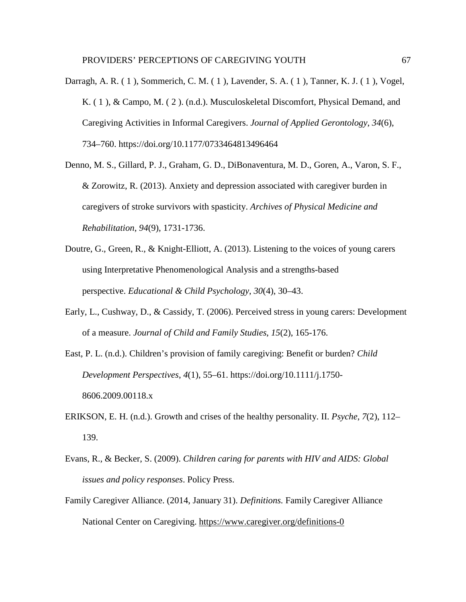- Darragh, A. R. ( 1 ), Sommerich, C. M. ( 1 ), Lavender, S. A. ( 1 ), Tanner, K. J. ( 1 ), Vogel, K. ( 1 ), & Campo, M. ( 2 ). (n.d.). Musculoskeletal Discomfort, Physical Demand, and Caregiving Activities in Informal Caregivers. *Journal of Applied Gerontology*, *34*(6), 734–760. https://doi.org/10.1177/0733464813496464
- Denno, M. S., Gillard, P. J., Graham, G. D., DiBonaventura, M. D., Goren, A., Varon, S. F., & Zorowitz, R. (2013). Anxiety and depression associated with caregiver burden in caregivers of stroke survivors with spasticity. *Archives of Physical Medicine and Rehabilitation*, *94*(9), 1731-1736.
- Doutre, G., Green, R., & Knight-Elliott, A. (2013). Listening to the voices of young carers using Interpretative Phenomenological Analysis and a strengths-based perspective. *Educational & Child Psychology*, *30*(4), 30–43.
- Early, L., Cushway, D., & Cassidy, T. (2006). Perceived stress in young carers: Development of a measure. *Journal of Child and Family Studies*, *15*(2), 165-176.
- East, P. L. (n.d.). Children's provision of family caregiving: Benefit or burden? *Child Development Perspectives*, *4*(1), 55–61. https://doi.org/10.1111/j.1750- 8606.2009.00118.x
- ERIKSON, E. H. (n.d.). Growth and crises of the healthy personality. II. *Psyche*, *7*(2), 112– 139.
- Evans, R., & Becker, S. (2009). *Children caring for parents with HIV and AIDS: Global issues and policy responses*. Policy Press.
- Family Caregiver Alliance. (2014, January 31). *Definitions.* Family Caregiver Alliance National Center on Caregiving.<https://www.caregiver.org/definitions-0>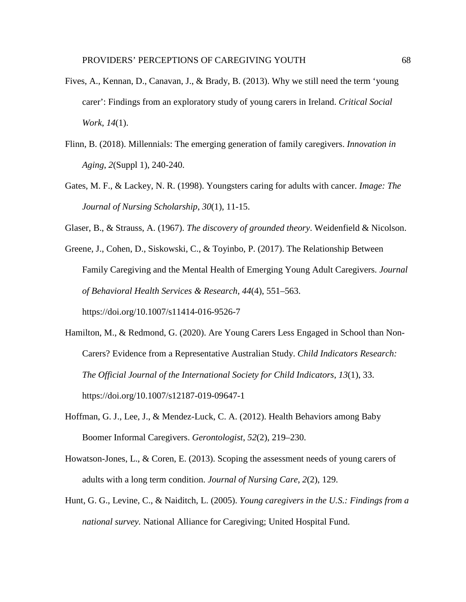- Fives, A., Kennan, D., Canavan, J., & Brady, B. (2013). Why we still need the term 'young carer': Findings from an exploratory study of young carers in Ireland. *Critical Social Work*, *14*(1).
- Flinn, B. (2018). Millennials: The emerging generation of family caregivers. *Innovation in Aging*, *2*(Suppl 1), 240-240.
- Gates, M. F., & Lackey, N. R. (1998). Youngsters caring for adults with cancer. *Image: The Journal of Nursing Scholarship*, *30*(1), 11-15.
- Glaser, B., & Strauss, A. (1967). *The discovery of grounded theory*. Weidenfield & Nicolson.
- Greene, J., Cohen, D., Siskowski, C., & Toyinbo, P. (2017). The Relationship Between Family Caregiving and the Mental Health of Emerging Young Adult Caregivers. *Journal of Behavioral Health Services & Research*, *44*(4), 551–563. https://doi.org/10.1007/s11414-016-9526-7
- Hamilton, M., & Redmond, G. (2020). Are Young Carers Less Engaged in School than Non-Carers? Evidence from a Representative Australian Study. *Child Indicators Research: The Official Journal of the International Society for Child Indicators*, *13*(1), 33. https://doi.org/10.1007/s12187-019-09647-1
- Hoffman, G. J., Lee, J., & Mendez-Luck, C. A. (2012). Health Behaviors among Baby Boomer Informal Caregivers. *Gerontologist*, *52*(2), 219–230.
- Howatson-Jones, L., & Coren, E. (2013). Scoping the assessment needs of young carers of adults with a long term condition. *Journal of Nursing Care*, *2*(2), 129.
- Hunt, G. G., Levine, C., & Naiditch, L. (2005). *Young caregivers in the U.S.: Findings from a national survey.* National Alliance for Caregiving; United Hospital Fund.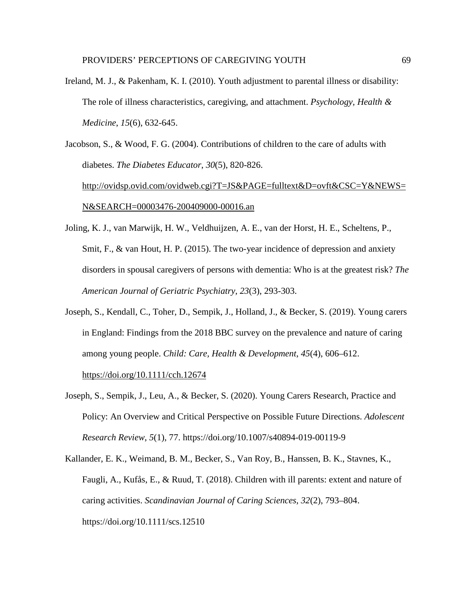Ireland, M. J., & Pakenham, K. I. (2010). Youth adjustment to parental illness or disability: The role of illness characteristics, caregiving, and attachment. *Psychology, Health & Medicine*, *15*(6), 632-645.

Jacobson, S., & Wood, F. G. (2004). Contributions of children to the care of adults with diabetes. *The Diabetes Educator*, *30*(5), 820-826. [http://ovidsp.ovid.com/ovidweb.cgi?T=JS&PAGE=fulltext&D=ovft&CSC=Y&NEWS=](http://ovidsp.ovid.com/ovidweb.cgi?T=JS&PAGE=fulltext&D=ovft&CSC=Y&NEWS=N&SEARCH=00003476-200409000-00016.an) [N&SEARCH=00003476-200409000-00016.an](http://ovidsp.ovid.com/ovidweb.cgi?T=JS&PAGE=fulltext&D=ovft&CSC=Y&NEWS=N&SEARCH=00003476-200409000-00016.an)

- Joling, K. J., van Marwijk, H. W., Veldhuijzen, A. E., van der Horst, H. E., Scheltens, P., Smit, F., & van Hout, H. P. (2015). The two-year incidence of depression and anxiety disorders in spousal caregivers of persons with dementia: Who is at the greatest risk? *The American Journal of Geriatric Psychiatry*, *23*(3), 293-303.
- Joseph, S., Kendall, C., Toher, D., Sempik, J., Holland, J., & Becker, S. (2019). Young carers in England: Findings from the 2018 BBC survey on the prevalence and nature of caring among young people. *Child: Care, Health & Development*, *45*(4), 606–612. <https://doi.org/10.1111/cch.12674>
- Joseph, S., Sempik, J., Leu, A., & Becker, S. (2020). Young Carers Research, Practice and Policy: An Overview and Critical Perspective on Possible Future Directions. *Adolescent Research Review*, *5*(1), 77. https://doi.org/10.1007/s40894-019-00119-9
- Kallander, E. K., Weimand, B. M., Becker, S., Van Roy, B., Hanssen, B. K., Stavnes, K., Faugli, A., Kufås, E., & Ruud, T. (2018). Children with ill parents: extent and nature of caring activities. *Scandinavian Journal of Caring Sciences*, *32*(2), 793–804. https://doi.org/10.1111/scs.12510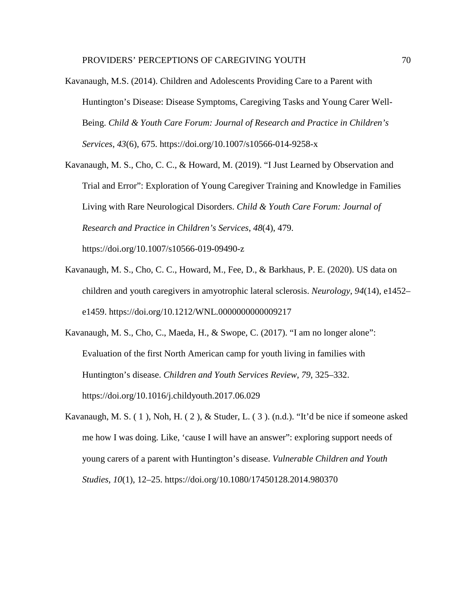- Kavanaugh, M.S. (2014). Children and Adolescents Providing Care to a Parent with Huntington's Disease: Disease Symptoms, Caregiving Tasks and Young Carer Well-Being. *Child & Youth Care Forum: Journal of Research and Practice in Children's Services*, *43*(6), 675. https://doi.org/10.1007/s10566-014-9258-x
- Kavanaugh, M. S., Cho, C. C., & Howard, M. (2019). "I Just Learned by Observation and Trial and Error": Exploration of Young Caregiver Training and Knowledge in Families Living with Rare Neurological Disorders. *Child & Youth Care Forum: Journal of Research and Practice in Children's Services*, *48*(4), 479. https://doi.org/10.1007/s10566-019-09490-z
	-
- Kavanaugh, M. S., Cho, C. C., Howard, M., Fee, D., & Barkhaus, P. E. (2020). US data on children and youth caregivers in amyotrophic lateral sclerosis. *Neurology*, *94*(14), e1452– e1459. https://doi.org/10.1212/WNL.0000000000009217
- Kavanaugh, M. S., Cho, C., Maeda, H., & Swope, C. (2017). "I am no longer alone": Evaluation of the first North American camp for youth living in families with Huntington's disease. *Children and Youth Services Review*, *79*, 325–332. https://doi.org/10.1016/j.childyouth.2017.06.029
- Kavanaugh, M. S. ( 1 ), Noh, H. ( 2 ), & Studer, L. ( 3 ). (n.d.). "It'd be nice if someone asked me how I was doing. Like, 'cause I will have an answer": exploring support needs of young carers of a parent with Huntington's disease. *Vulnerable Children and Youth Studies*, *10*(1), 12–25. https://doi.org/10.1080/17450128.2014.980370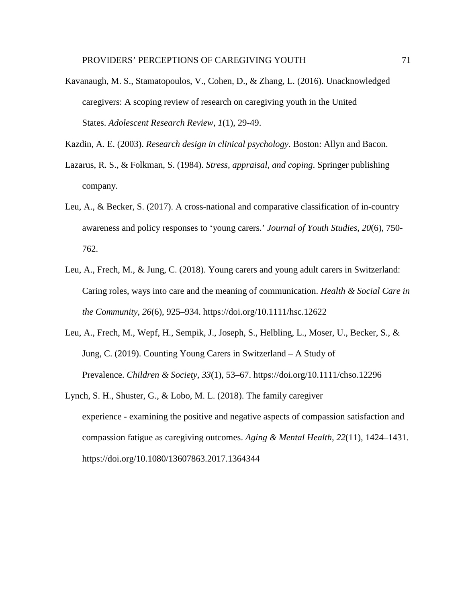Kavanaugh, M. S., Stamatopoulos, V., Cohen, D., & Zhang, L. (2016). Unacknowledged caregivers: A scoping review of research on caregiving youth in the United States. *Adolescent Research Review*, *1*(1), 29-49.

Kazdin, A. E. (2003). *Research design in clinical psychology*. Boston: Allyn and Bacon.

- Lazarus, R. S., & Folkman, S. (1984). *Stress, appraisal, and coping*. Springer publishing company.
- Leu, A., & Becker, S. (2017). A cross-national and comparative classification of in-country awareness and policy responses to 'young carers.' *Journal of Youth Studies*, *20*(6), 750- 762.
- Leu, A., Frech, M., & Jung, C. (2018). Young carers and young adult carers in Switzerland: Caring roles, ways into care and the meaning of communication. *Health & Social Care in the Community*, *26*(6), 925–934. https://doi.org/10.1111/hsc.12622
- Leu, A., Frech, M., Wepf, H., Sempik, J., Joseph, S., Helbling, L., Moser, U., Becker, S., & Jung, C. (2019). Counting Young Carers in Switzerland – A Study of Prevalence. *Children & Society*, *33*(1), 53–67. https://doi.org/10.1111/chso.12296
- Lynch, S. H., Shuster, G., & Lobo, M. L. (2018). The family caregiver experience - examining the positive and negative aspects of compassion satisfaction and compassion fatigue as caregiving outcomes. *Aging & Mental Health*, *22*(11), 1424–1431. <https://doi.org/10.1080/13607863.2017.1364344>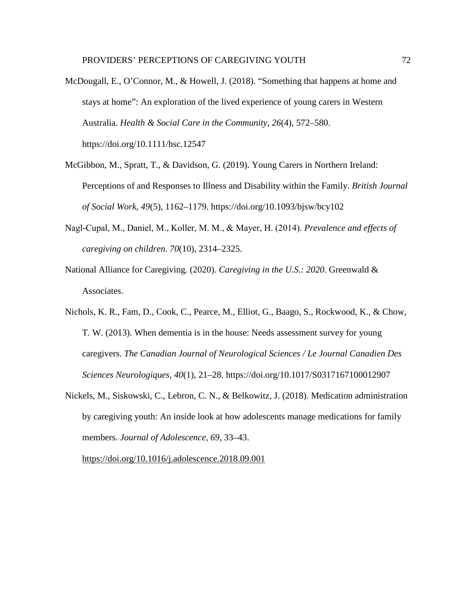- McDougall, E., O'Connor, M., & Howell, J. (2018). "Something that happens at home and stays at home": An exploration of the lived experience of young carers in Western Australia. *Health & Social Care in the Community*, *26*(4), 572–580. https://doi.org/10.1111/hsc.12547
- McGibbon, M., Spratt, T., & Davidson, G. (2019). Young Carers in Northern Ireland: Perceptions of and Responses to Illness and Disability within the Family. *British Journal of Social Work*, *49*(5), 1162–1179. https://doi.org/10.1093/bjsw/bcy102
- Nagl‐Cupal, M., Daniel, M., Koller, M. M., & Mayer, H. (2014). *Prevalence and effects of caregiving on children*. *70*(10), 2314–2325.
- National Alliance for Caregiving. (2020). *Caregiving in the U.S.: 2020.* Greenwald & Associates.
- Nichols, K. R., Fam, D., Cook, C., Pearce, M., Elliot, G., Baago, S., Rockwood, K., & Chow, T. W. (2013). When dementia is in the house: Needs assessment survey for young caregivers. *The Canadian Journal of Neurological Sciences / Le Journal Canadien Des Sciences Neurologiques*, *40*(1), 21–28. https://doi.org/10.1017/S0317167100012907
- Nickels, M., Siskowski, C., Lebron, C. N., & Belkowitz, J. (2018). Medication administration by caregiving youth: An inside look at how adolescents manage medications for family members. *Journal of Adolescence*, *69*, 33–43.

<https://doi.org/10.1016/j.adolescence.2018.09.001>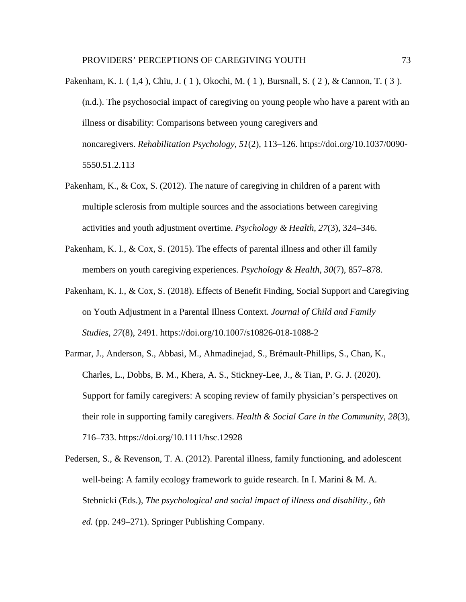- Pakenham, K. I. ( 1,4 ), Chiu, J. ( 1 ), Okochi, M. ( 1 ), Bursnall, S. ( 2 ), & Cannon, T. ( 3 ). (n.d.). The psychosocial impact of caregiving on young people who have a parent with an illness or disability: Comparisons between young caregivers and noncaregivers. *Rehabilitation Psychology*, *51*(2), 113–126. https://doi.org/10.1037/0090- 5550.51.2.113
- Pakenham, K., & Cox, S. (2012). The nature of caregiving in children of a parent with multiple sclerosis from multiple sources and the associations between caregiving activities and youth adjustment overtime. *Psychology & Health*, *27*(3), 324–346.
- Pakenham, K. I., & Cox, S. (2015). The effects of parental illness and other ill family members on youth caregiving experiences. *Psychology & Health*, *30*(7), 857–878.
- Pakenham, K. I., & Cox, S. (2018). Effects of Benefit Finding, Social Support and Caregiving on Youth Adjustment in a Parental Illness Context. *Journal of Child and Family Studies*, *27*(8), 2491. https://doi.org/10.1007/s10826-018-1088-2
- Parmar, J., Anderson, S., Abbasi, M., Ahmadinejad, S., Brémault-Phillips, S., Chan, K., Charles, L., Dobbs, B. M., Khera, A. S., Stickney-Lee, J., & Tian, P. G. J. (2020). Support for family caregivers: A scoping review of family physician's perspectives on their role in supporting family caregivers. *Health & Social Care in the Community*, *28*(3), 716–733. https://doi.org/10.1111/hsc.12928
- Pedersen, S., & Revenson, T. A. (2012). Parental illness, family functioning, and adolescent well-being: A family ecology framework to guide research. In I. Marini & M. A. Stebnicki (Eds.), *The psychological and social impact of illness and disability., 6th ed.* (pp. 249–271). Springer Publishing Company.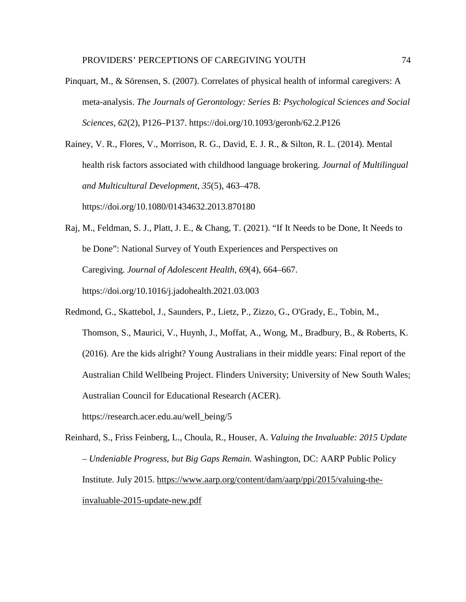Pinquart, M., & Sörensen, S. (2007). Correlates of physical health of informal caregivers: A meta-analysis. *The Journals of Gerontology: Series B: Psychological Sciences and Social Sciences*, *62*(2), P126–P137. https://doi.org/10.1093/geronb/62.2.P126

Rainey, V. R., Flores, V., Morrison, R. G., David, E. J. R., & Silton, R. L. (2014). Mental health risk factors associated with childhood language brokering. *Journal of Multilingual and Multicultural Development*, *35*(5), 463–478. https://doi.org/10.1080/01434632.2013.870180

Raj, M., Feldman, S. J., Platt, J. E., & Chang, T. (2021). "If It Needs to be Done, It Needs to be Done": National Survey of Youth Experiences and Perspectives on Caregiving. *Journal of Adolescent Health*, *69*(4), 664–667. https://doi.org/10.1016/j.jadohealth.2021.03.003

Redmond, G., Skattebol, J., Saunders, P., Lietz, P., Zizzo, G., O'Grady, E., Tobin, M., Thomson, S., Maurici, V., Huynh, J., Moffat, A., Wong, M., Bradbury, B., & Roberts, K. (2016). Are the kids alright? Young Australians in their middle years: Final report of the Australian Child Wellbeing Project. Flinders University; University of New South Wales; Australian Council for Educational Research (ACER). https://research.acer.edu.au/well\_being/5

Reinhard, S., Friss Feinberg, L., Choula, R., Houser, A. *Valuing the Invaluable: 2015 Update – Undeniable Progress, but Big Gaps Remain.* Washington, DC: AARP Public Policy Institute. July 2015. [https://www.aarp.org/content/dam/aarp/ppi/2015/valuing-the](https://www.aarp.org/content/dam/aarp/ppi/2015/valuing-the-invaluable-2015-update-new.pdf)[invaluable-2015-update-new.pdf](https://www.aarp.org/content/dam/aarp/ppi/2015/valuing-the-invaluable-2015-update-new.pdf)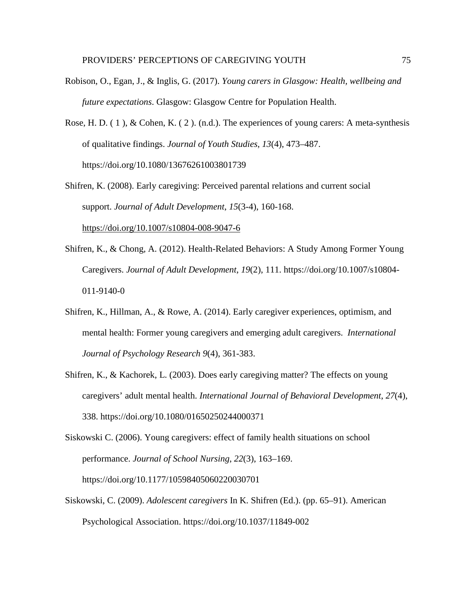- Robison, O., Egan, J., & Inglis, G. (2017). *Young carers in Glasgow: Health, wellbeing and future expectations*. Glasgow: Glasgow Centre for Population Health.
- Rose, H. D. ( 1 ), & Cohen, K. ( 2 ). (n.d.). The experiences of young carers: A meta-synthesis of qualitative findings. *Journal of Youth Studies*, *13*(4), 473–487. https://doi.org/10.1080/13676261003801739

Shifren, K. (2008). Early caregiving: Perceived parental relations and current social support. *Journal of Adult Development*, *15*(3-4), 160-168. <https://doi.org/10.1007/s10804-008-9047-6>

- Shifren, K., & Chong, A. (2012). Health-Related Behaviors: A Study Among Former Young Caregivers. *Journal of Adult Development*, *19*(2), 111. https://doi.org/10.1007/s10804- 011-9140-0
- Shifren, K., Hillman, A., & Rowe, A. (2014). Early caregiver experiences, optimism, and mental health: Former young caregivers and emerging adult caregivers. *International Journal of Psychology Research 9*(4), 361-383.
- Shifren, K., & Kachorek, L. (2003). Does early caregiving matter? The effects on young caregivers' adult mental health. *International Journal of Behavioral Development*, *27*(4), 338. https://doi.org/10.1080/01650250244000371

Siskowski C. (2006). Young caregivers: effect of family health situations on school performance. *Journal of School Nursing*, *22*(3), 163–169. https://doi.org/10.1177/10598405060220030701

Siskowski, C. (2009). *Adolescent caregivers* In K. Shifren (Ed.). (pp. 65–91). American Psychological Association. https://doi.org/10.1037/11849-002